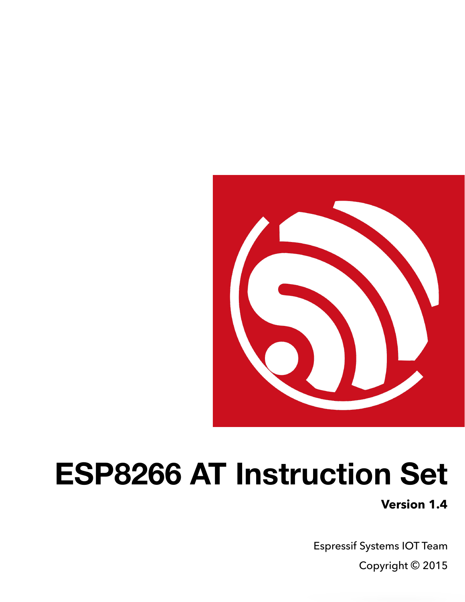

# **ESP8266 AT Instruction Set**

**Version 1.4** 

Espressif Systems IOT Team Copyright © 2015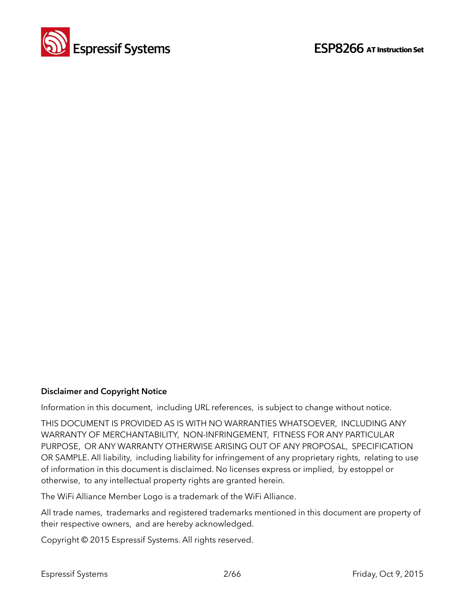

#### **Disclaimer and Copyright Notice**

Information in this document, including URL references, is subject to change without notice.

THIS DOCUMENT IS PROVIDED AS IS WITH NO WARRANTIES WHATSOEVER, INCLUDING ANY WARRANTY OF MERCHANTABILITY, NON-INFRINGEMENT, FITNESS FOR ANY PARTICULAR PURPOSE, OR ANY WARRANTY OTHERWISE ARISING OUT OF ANY PROPOSAL, SPECIFICATION OR SAMPLE. All liability, including liability for infringement of any proprietary rights, relating to use of information in this document is disclaimed. No licenses express or implied, by estoppel or otherwise, to any intellectual property rights are granted herein.

The WiFi Alliance Member Logo is a trademark of the WiFi Alliance.

All trade names, trademarks and registered trademarks mentioned in this document are property of their respective owners, and are hereby acknowledged.

Copyright © 2015 Espressif Systems. All rights reserved.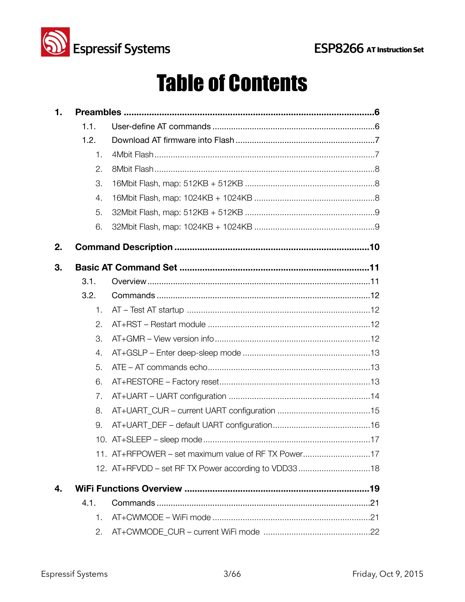

## **Table of Contents**

| $\mathbf 1$ . |                |                                                     |  |  |  |  |
|---------------|----------------|-----------------------------------------------------|--|--|--|--|
|               | 1.1.           |                                                     |  |  |  |  |
|               | 1.2.           |                                                     |  |  |  |  |
|               | 1.             |                                                     |  |  |  |  |
|               | 2.             |                                                     |  |  |  |  |
|               | 3.             |                                                     |  |  |  |  |
|               | 4.             |                                                     |  |  |  |  |
|               | 5.             |                                                     |  |  |  |  |
|               | 6.             |                                                     |  |  |  |  |
| 2.            |                |                                                     |  |  |  |  |
| 3.            |                |                                                     |  |  |  |  |
|               | 3.1.           |                                                     |  |  |  |  |
|               | 3.2.           |                                                     |  |  |  |  |
|               | 1.             |                                                     |  |  |  |  |
|               | 2.             |                                                     |  |  |  |  |
|               | 3.             |                                                     |  |  |  |  |
|               | 4.             |                                                     |  |  |  |  |
|               | 5.             |                                                     |  |  |  |  |
|               | 6.             |                                                     |  |  |  |  |
|               | 7.             |                                                     |  |  |  |  |
|               | 8.             |                                                     |  |  |  |  |
|               | 9.             |                                                     |  |  |  |  |
|               |                |                                                     |  |  |  |  |
|               |                | 11. AT+RFPOWER – set maximum value of RF TX Power17 |  |  |  |  |
|               |                | 12. AT+RFVDD - set RF TX Power according to VDD3318 |  |  |  |  |
| 4.            |                |                                                     |  |  |  |  |
|               | 4.1.           |                                                     |  |  |  |  |
|               | $\mathbf{1}$ . |                                                     |  |  |  |  |
|               | 2.             |                                                     |  |  |  |  |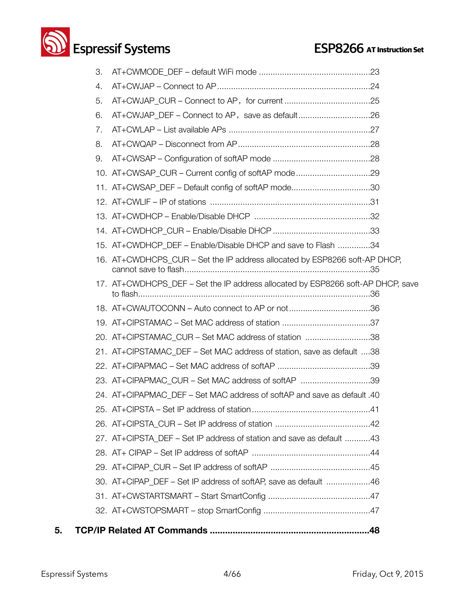## **Solution Systems ESP8266** AT Instruction Set

| 5. |    |                                                                                 |
|----|----|---------------------------------------------------------------------------------|
|    |    |                                                                                 |
|    |    |                                                                                 |
|    |    | 30. AT+CIPAP DEF – Set IP address of softAP, save as default 46                 |
|    |    |                                                                                 |
|    |    |                                                                                 |
|    |    | 27. AT+CIPSTA_DEF – Set IP address of station and save as default 43            |
|    |    |                                                                                 |
|    |    |                                                                                 |
|    |    | 24. AT+CIPAPMAC DEF - Set MAC address of softAP and save as default .40         |
|    |    | 23. AT+CIPAPMAC_CUR - Set MAC address of softAP 39                              |
|    |    |                                                                                 |
|    |    | 21. AT+CIPSTAMAC_DEF – Set MAC address of station, save as default 38           |
|    |    | 20. AT+CIPSTAMAC_CUR - Set MAC address of station 38                            |
|    |    |                                                                                 |
|    |    | 18. AT+CWAUTOCONN – Auto connect to AP or not36                                 |
|    |    | 17. AT+CWDHCPS_DEF - Set the IP address allocated by ESP8266 soft-AP DHCP, save |
|    |    | 16. AT+CWDHCPS_CUR – Set the IP address allocated by ESP8266 soft-AP DHCP,      |
|    |    | 15. AT+CWDHCP_DEF - Enable/Disable DHCP and save to Flash 34                    |
|    |    |                                                                                 |
|    |    |                                                                                 |
|    |    |                                                                                 |
|    |    | 11. AT+CWSAP_DEF - Default config of softAP mode30                              |
|    |    | 10. AT+CWSAP_CUR – Current config of softAP mode29                              |
|    | 9. |                                                                                 |
|    | 8. |                                                                                 |
|    | 7. |                                                                                 |
|    | 6. |                                                                                 |
|    | 5. |                                                                                 |
|    | 4. |                                                                                 |
|    | 3. |                                                                                 |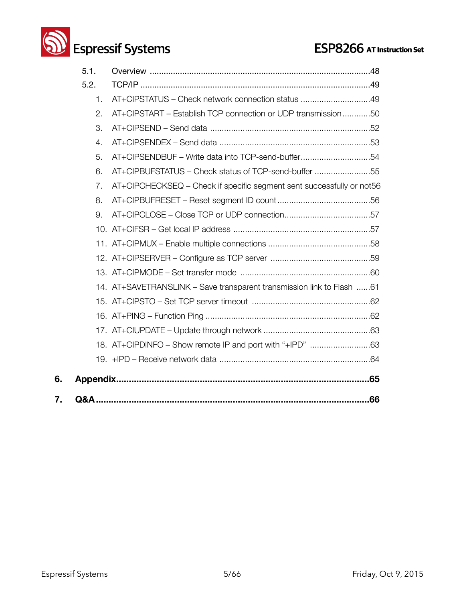

|    | 5.1. |                                                                       |
|----|------|-----------------------------------------------------------------------|
|    | 5.2. |                                                                       |
|    | 1.   | AT+CIPSTATUS - Check network connection status 49                     |
|    | 2.   | AT+CIPSTART - Establish TCP connection or UDP transmission50          |
|    | 3.   |                                                                       |
|    | 4.   |                                                                       |
|    | 5.   | AT+CIPSENDBUF - Write data into TCP-send-buffer54                     |
|    | 6.   | AT+CIPBUFSTATUS - Check status of TCP-send-buffer 55                  |
|    | 7.   | AT+CIPCHECKSEQ - Check if specific segment sent successfully or not56 |
|    | 8.   |                                                                       |
|    | 9.   |                                                                       |
|    |      |                                                                       |
|    |      |                                                                       |
|    |      |                                                                       |
|    |      |                                                                       |
|    |      | 14. AT+SAVETRANSLINK - Save transparent transmission link to Flash 61 |
|    |      |                                                                       |
|    |      |                                                                       |
|    |      |                                                                       |
|    |      |                                                                       |
|    |      |                                                                       |
| 6. |      |                                                                       |
| 7. |      | .66                                                                   |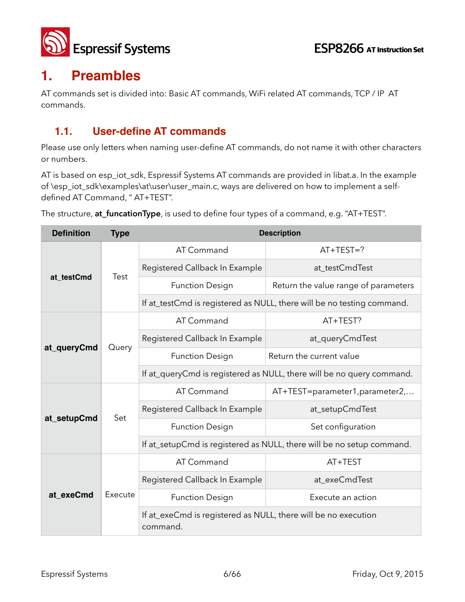

## **1. Preambles**

AT commands set is divided into: Basic AT commands, WiFi related AT commands, TCP / IP AT commands.

## **1.1. User-define AT commands**

Please use only letters when naming user-define AT commands, do not name it with other characters or numbers.

AT is based on esp\_iot\_sdk, Espressif Systems AT commands are provided in libat.a. In the example of \esp\_iot\_sdk\examples\at\user\user\_main.c, ways are delivered on how to implement a selfdefined AT Command, " AT+TEST".

The structure, **at\_funcationType**, is used to define four types of a command, e.g. "AT+TEST".

| <b>Definition</b> | <b>Type</b> | <b>Description</b>                                                         |                                                                       |  |
|-------------------|-------------|----------------------------------------------------------------------------|-----------------------------------------------------------------------|--|
|                   | Test        | AT Command                                                                 | $AT+TEST=?$                                                           |  |
|                   |             | Registered Callback In Example                                             | at testCmdTest                                                        |  |
| at_testCmd        |             | <b>Function Design</b>                                                     | Return the value range of parameters                                  |  |
|                   |             | If at_testCmd is registered as NULL, there will be no testing command.     |                                                                       |  |
|                   |             | AT Command                                                                 | AT+TEST?                                                              |  |
| at_queryCmd       | Query       | Registered Callback In Example                                             | at_queryCmdTest                                                       |  |
|                   |             | <b>Function Design</b>                                                     | Return the current value                                              |  |
|                   |             | If at_queryCmd is registered as NULL, there will be no query command.      |                                                                       |  |
|                   | Set         | AT Command                                                                 | AT+TEST=parameter1,parameter2,                                        |  |
|                   |             | Registered Callback In Example                                             | at_setupCmdTest                                                       |  |
| at_setupCmd       |             | <b>Function Design</b>                                                     | Set configuration                                                     |  |
|                   |             |                                                                            | If at_setupCmd is registered as NULL, there will be no setup command. |  |
|                   | Execute     | AT Command                                                                 | AT+TEST                                                               |  |
|                   |             | Registered Callback In Example                                             | at_exeCmdTest                                                         |  |
| at exeCmd         |             | <b>Function Design</b>                                                     | Execute an action                                                     |  |
|                   |             | If at_exeCmd is registered as NULL, there will be no execution<br>command. |                                                                       |  |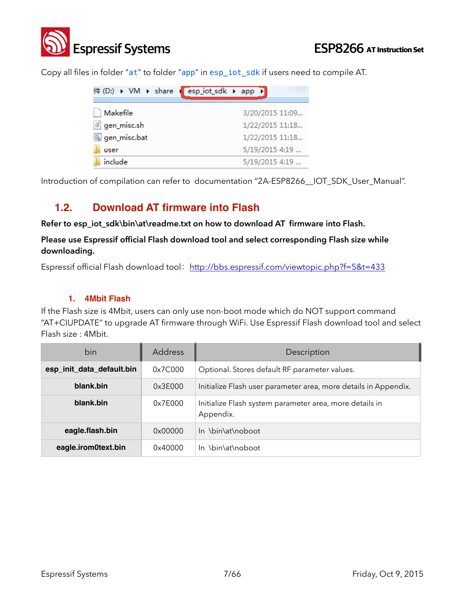

Copy all files in folder "at" to folder "app" in esp\_iot\_sdk if users need to compile AT.

|              | 件 (D:) ▶ VM ▶ share I esp_iot_sdk ▶ app ▶ |
|--------------|-------------------------------------------|
|              |                                           |
| Makefile     | 3/20/2015 11:09                           |
| gen_misc.sh  | 1/22/2015 11:18                           |
| gen_misc.bat | 1/22/2015 11:18                           |
| user         | 5/19/2015 4:19                            |
| include      | 5/19/2015 4:19                            |

Introduction of compilation can refer to documentation "2A-ESP8266\_\_IOT\_SDK\_User\_Manual".

### **1.2. Download AT firmware into Flash**

**Refer to esp\_iot\_sdk\bin\at\readme.txt on how to download AT firmware into Flash.**

**Please use Espressif official Flash download tool and select corresponding Flash size while downloading.** 

Espressif official Flash download tool: <http://bbs.espressif.com/viewtopic.php?f=5&t=433>

#### **1. 4Mbit Flash**

If the Flash size is 4Mbit, users can only use non-boot mode which do NOT support command "AT+CIUPDATE" to upgrade AT firmware through WiFi. Use Espressif Flash download tool and select Flash size : 4Mbit.

| bin                       | <b>Address</b> | Description                                                          |
|---------------------------|----------------|----------------------------------------------------------------------|
| esp_init_data_default.bin | 0x7C000        | Optional. Stores default RF parameter values.                        |
| blank.bin                 | 0x3E000        | Initialize Flash user parameter area, more details in Appendix.      |
| blank.bin                 | 0x7E000        | Initialize Flash system parameter area, more details in<br>Appendix. |
| eagle.flash.bin           | 0x00000        | In \bin\at\noboot                                                    |
| eagle.irom0text.bin       | 0x40000        | In \bin\at\noboot                                                    |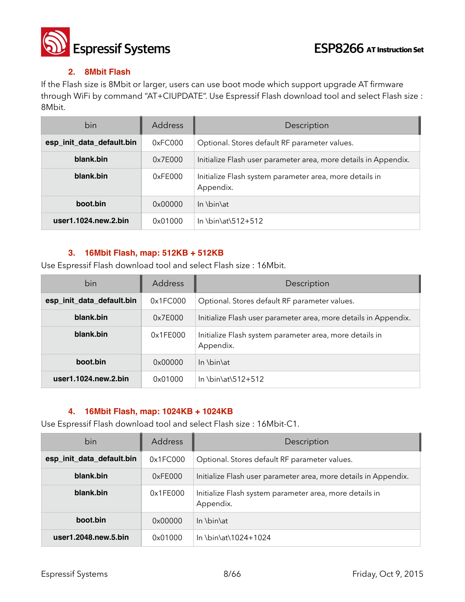

#### **2. 8Mbit Flash**

If the Flash size is 8Mbit or larger, users can use boot mode which support upgrade AT firmware through WiFi by command "AT+CIUPDATE". Use Espressif Flash download tool and select Flash size : 8Mbit.

| bin                          | <b>Address</b> | Description                                                          |
|------------------------------|----------------|----------------------------------------------------------------------|
| esp_init_data_default.bin    | 0xFC000        | Optional. Stores default RF parameter values.                        |
| blank.bin                    | 0x7E000        | Initialize Flash user parameter area, more details in Appendix.      |
| blank.bin                    | 0xFE000        | Initialize Flash system parameter area, more details in<br>Appendix. |
| boot.bin                     | 0x00000        | $\ln \binom{h}{h}$                                                   |
| user $1.1024$ .new. $2.$ bin | 0x01000        | In \bin\at\512+512                                                   |

#### **3. 16Mbit Flash, map: 512KB + 512KB**

Use Espressif Flash download tool and select Flash size : 16Mbit.

| bin                          | <b>Address</b> | Description                                                          |
|------------------------------|----------------|----------------------------------------------------------------------|
| esp_init_data_default.bin    | 0x1FC000       | Optional. Stores default RF parameter values.                        |
| blank.bin                    | 0x7E000        | Initialize Flash user parameter area, more details in Appendix.      |
| blank.bin                    | 0x1FE000       | Initialize Flash system parameter area, more details in<br>Appendix. |
| boot.bin                     | 0x00000        | $\ln \binom{h}{h}$                                                   |
| user $1.1024$ .new. $2.$ bin | 0x01000        | In \bin\at\512+512                                                   |

#### **4. 16Mbit Flash, map: 1024KB + 1024KB**

Use Espressif Flash download tool and select Flash size : 16Mbit-C1.

| bin                       | <b>Address</b> | Description                                                          |
|---------------------------|----------------|----------------------------------------------------------------------|
| esp_init_data_default.bin | 0x1FC000       | Optional. Stores default RF parameter values.                        |
| blank.bin                 | 0xFE000        | Initialize Flash user parameter area, more details in Appendix.      |
| blank.bin                 | 0x1FE000       | Initialize Flash system parameter area, more details in<br>Appendix. |
| boot.bin                  | 0x00000        | In \bin\at                                                           |
| user1.2048.new.5.bin      | 0x01000        | In \bin\at\1024+1024                                                 |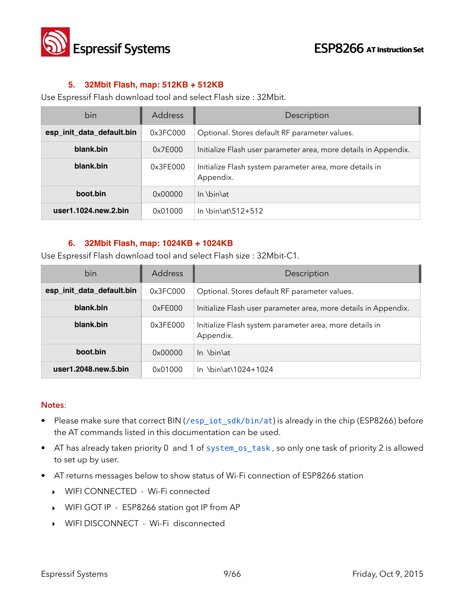

#### **5. 32Mbit Flash, map: 512KB + 512KB**

Use Espressif Flash download tool and select Flash size : 32Mbit.

| bin                       | <b>Address</b> | Description                                                          |
|---------------------------|----------------|----------------------------------------------------------------------|
| esp_init_data_default.bin | 0x3FCO00       | Optional. Stores default RF parameter values.                        |
| blank.bin                 | 0x7E000        | Initialize Flash user parameter area, more details in Appendix.      |
| blank.bin                 | 0x3FE000       | Initialize Flash system parameter area, more details in<br>Appendix. |
| boot.bin                  | 0x00000        | $\ln \binom{h}{h}$                                                   |
| user1.1024.new.2.bin      | 0x01000        | In \bin\at\512+512                                                   |

#### **6. 32Mbit Flash, map: 1024KB + 1024KB**

Use Espressif Flash download tool and select Flash size : 32Mbit-C1.

| bin                       | <b>Address</b> | Description                                                          |
|---------------------------|----------------|----------------------------------------------------------------------|
| esp_init_data_default.bin | 0x3FC000       | Optional. Stores default RF parameter values.                        |
| blank.bin                 | 0xFE000        | Initialize Flash user parameter area, more details in Appendix.      |
| blank.bin                 | 0x3FE000       | Initialize Flash system parameter area, more details in<br>Appendix. |
| boot.bin                  | 0x00000        | In \bin\at                                                           |
| user1.2048.new.5.bin      | 0x01000        | In \bin\at\1024+1024                                                 |

#### **Notes**:

- Please make sure that correct BIN (/esp\_iot\_sdk/bin/at) is already in the chip (ESP8266) before the AT commands listed in this documentation can be used.
- AT has already taken priority 0 and 1 of system\_os\_task , so only one task of priority 2 is allowed to set up by user.
- AT returns messages below to show status of Wi-Fi connection of ESP8266 station
	- ‣ WIFI CONNECTED Wi-Fi connected
	- ‣ WIFI GOT IP ESP8266 station got IP from AP
	- ‣ WIFI DISCONNECT Wi-Fi disconnected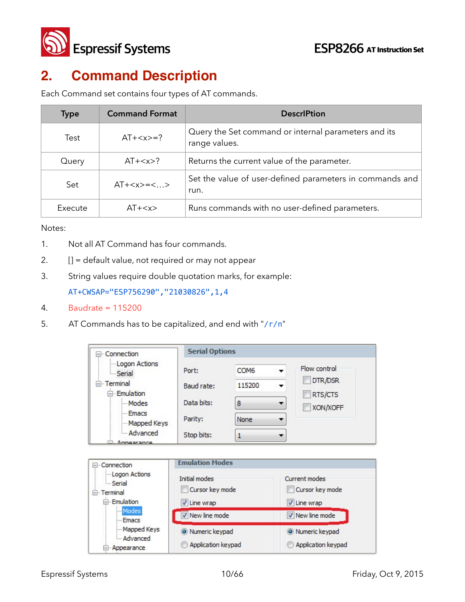

## **2. Command Description**

Each Command set contains four types of AT commands.

| <b>Type</b> | <b>Command Format</b> | <b>DescriPtion</b>                                                    |
|-------------|-----------------------|-----------------------------------------------------------------------|
| Test        | $AT+=?$               | Query the Set command or internal parameters and its<br>range values. |
| Query       | $AT+$ ?               | Returns the current value of the parameter.                           |
| Set         | $AT+=<>$              | Set the value of user-defined parameters in commands and<br>run.      |
| Execute     | $AT+$                 | Runs commands with no user-defined parameters.                        |

Notes:

- 1. Not all AT Command has four commands.
- 2. **[] = default value, not required or may not appear**
- 3. String values require double quotation marks, for example:

AT+CWSAP="ESP756290","21030826",1,4

- 4. Baudrate = 115200
- 5. AT Commands has to be capitalized, and end with "/r/n"

| Connection                                                    | <b>Serial Options</b>  |                  |                      |  |
|---------------------------------------------------------------|------------------------|------------------|----------------------|--|
| -Logon Actions<br>Serial                                      | Port:                  | COM <sub>6</sub> | Flow control         |  |
| Terminal<br><b>Emulation</b>                                  | Baud rate:             | 115200           | DTR/DSR<br>RTS/CTS   |  |
| Modes                                                         | Data bits:             | 8                | XON/XOFF             |  |
| - Emacs<br>Mapped Keys                                        | Parity:                | None             | ▼                    |  |
| - Advanced<br>- Annearance                                    | Stop bits:             | 1                | ▼                    |  |
|                                                               |                        |                  |                      |  |
|                                                               |                        |                  |                      |  |
|                                                               | <b>Emulation Modes</b> |                  |                      |  |
| -Logon Actions<br><b>Serial</b>                               | Initial modes          |                  | <b>Current modes</b> |  |
|                                                               | Cursor key mode        |                  | Cursor key mode      |  |
| E <sub>"</sub> Emulation                                      | V Line wrap            |                  | V Line wrap          |  |
| Modes<br>- Emacs                                              | New line mode          |                  | V New line mode      |  |
| Connection<br>$-1$<br>E-Terminal<br>Mapped Keys<br>- Advanced | Numeric keypad         |                  | O Numeric keypad     |  |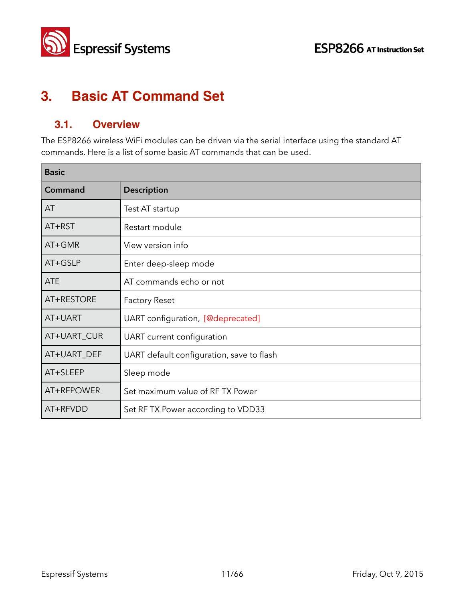



## **3. Basic AT Command Set**

## **3.1. Overview**

The ESP8266 wireless WiFi modules can be driven via the serial interface using the standard AT commands. Here is a list of some basic AT commands that can be used.

| <b>Basic</b> |                                           |  |
|--------------|-------------------------------------------|--|
| Command      | <b>Description</b>                        |  |
| AT           | Test AT startup                           |  |
| $AT+RST$     | Restart module                            |  |
| AT+GMR       | View version info                         |  |
| AT+GSLP      | Enter deep-sleep mode                     |  |
| <b>ATE</b>   | AT commands echo or not                   |  |
| AT+RESTORE   | <b>Factory Reset</b>                      |  |
| AT+UART      | UART configuration, [@deprecated]         |  |
| AT+UART_CUR  | UART current configuration                |  |
| AT+UART_DEF  | UART default configuration, save to flash |  |
| AT+SLEEP     | Sleep mode                                |  |
| AT+RFPOWER   | Set maximum value of RFTX Power           |  |
| AT+RFVDD     | Set RF TX Power according to VDD33        |  |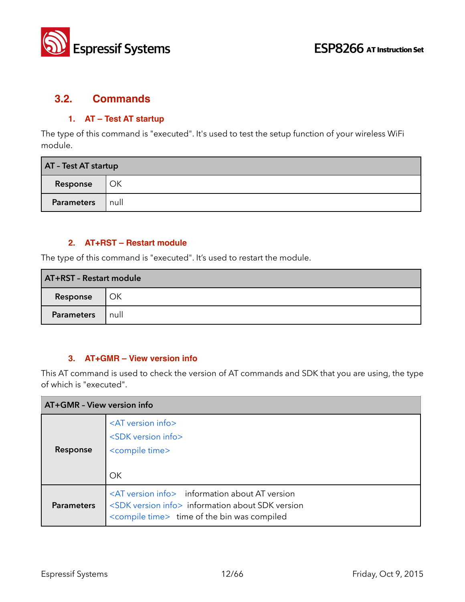

## **3.2. Commands**

#### **1. AT – Test AT startup**

The type of this command is "executed". It's used to test the setup function of your wireless WiFi module.

| AT - Test AT startup |      |  |
|----------------------|------|--|
| Response             | OK   |  |
| <b>Parameters</b>    | null |  |

#### **2. AT+RST – Restart module**

The type of this command is "executed". It's used to restart the module.

| AT+RST - Restart module |      |  |
|-------------------------|------|--|
| Response                | OK   |  |
| Parameters              | null |  |

#### **3. AT+GMR – View version info**

This AT command is used to check the version of AT commands and SDK that you are using, the type of which is "executed".

| AT+GMR - View version info |                                                                                                                                                                                         |  |
|----------------------------|-----------------------------------------------------------------------------------------------------------------------------------------------------------------------------------------|--|
| Response                   | <at info="" version=""><br/><sdk info="" version=""><br/><compile time=""><br/>OK</compile></sdk></at>                                                                                  |  |
| <b>Parameters</b>          | <at info="" version=""> information about AT version<br/><sdk info="" version=""> information about SDK version<br/><compile time=""> time of the bin was compiled</compile></sdk></at> |  |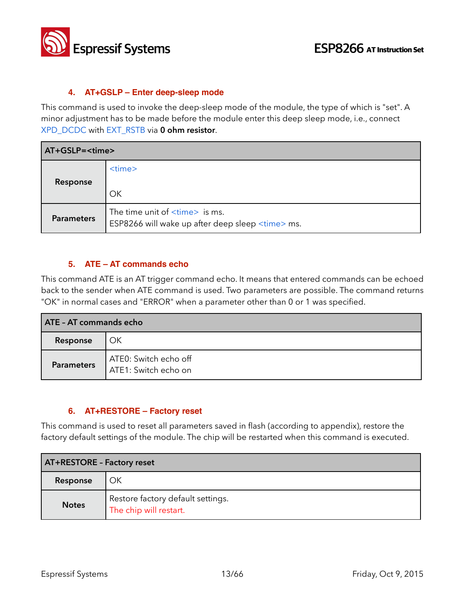

#### **4. AT+GSLP – Enter deep-sleep mode**

This command is used to invoke the deep-sleep mode of the module, the type of which is "set". A minor adjustment has to be made before the module enter this deep sleep mode, i.e., connect XPD\_DCDC with EXT\_RSTB via **0 ohm resistor**.

| AT+GSLP= <time></time> |                                                                                                      |  |
|------------------------|------------------------------------------------------------------------------------------------------|--|
| Response               | $<$ time $>$<br>OK                                                                                   |  |
| <b>Parameters</b>      | The time unit of $\times$ time $>$ is ms.<br>ESP8266 will wake up after deep sleep <time> ms.</time> |  |

#### **5. ATE – AT commands echo**

This command ATE is an AT trigger command echo. It means that entered commands can be echoed back to the sender when ATE command is used. Two parameters are possible. The command returns "OK" in normal cases and "ERROR" when a parameter other than 0 or 1 was specified.

| <b>ATE - AT commands echo</b> |                                               |  |
|-------------------------------|-----------------------------------------------|--|
| Response                      | OK                                            |  |
| <b>Parameters</b>             | ATE0: Switch echo off<br>ATE1: Switch echo on |  |

#### **6. AT+RESTORE – Factory reset**

This command is used to reset all parameters saved in flash (according to appendix), restore the factory default settings of the module. The chip will be restarted when this command is executed.

| <b>AT+RESTORE - Factory reset</b> |                                                             |  |
|-----------------------------------|-------------------------------------------------------------|--|
| Response                          | ОΚ                                                          |  |
| <b>Notes</b>                      | Restore factory default settings.<br>The chip will restart. |  |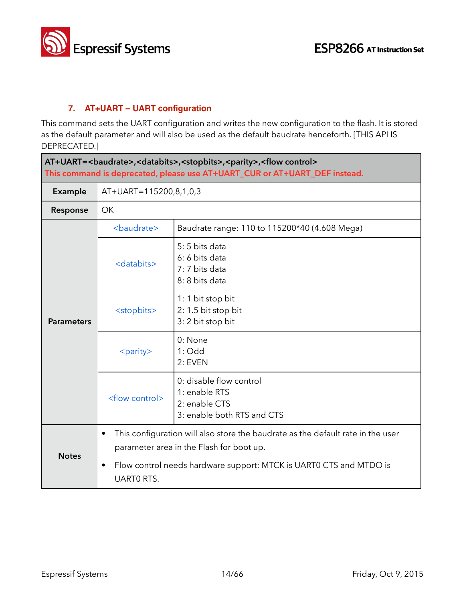

٦

#### **7. AT+UART – UART configuration**

This command sets the UART configuration and writes the new configuration to the flash. It is stored as the default parameter and will also be used as the default baudrate henceforth. [THIS API IS DEPRECATED.]

| AT+UART=<br>AT+UART=<br>AT+UART=<br>AT+UART=<br>AT+UART=<br>AT+UART=<br>AT+UART=<br>AT+UART=<br>AT+UART=<br>AT+UART=<br>AT+UART=<br>AT+UART=<br>AT+UART=<br>AT+UART=<br>AT+UART= <br<br>This command is deprecated, please use AT+UART_CUR or AT+UART_DEF instead.</br<br> |                          |                                                                                                                             |  |
|----------------------------------------------------------------------------------------------------------------------------------------------------------------------------------------------------------------------------------------------------------------------------|--------------------------|-----------------------------------------------------------------------------------------------------------------------------|--|
| <b>Example</b>                                                                                                                                                                                                                                                             | AT+UART=115200,8,1,0,3   |                                                                                                                             |  |
| Response                                                                                                                                                                                                                                                                   | OK                       |                                                                                                                             |  |
| <b>Parameters</b>                                                                                                                                                                                                                                                          | <baudrate></baudrate>    | Baudrate range: 110 to 115200*40 (4.608 Mega)                                                                               |  |
|                                                                                                                                                                                                                                                                            | <databits></databits>    | 5:5 bits data<br>6: 6 bits data<br>7: 7 bits data<br>8: 8 bits data                                                         |  |
|                                                                                                                                                                                                                                                                            | <stopbits></stopbits>    | 1: 1 bit stop bit<br>2: 1.5 bit stop bit<br>3: 2 bit stop bit                                                               |  |
|                                                                                                                                                                                                                                                                            | <parity></parity>        | 0: None<br>$1:$ Odd<br>2: EVEN                                                                                              |  |
|                                                                                                                                                                                                                                                                            | <flow control=""></flow> | 0: disable flow control<br>1: enable RTS<br>2: enable CTS<br>3: enable both RTS and CTS                                     |  |
| <b>Notes</b>                                                                                                                                                                                                                                                               | ٠                        | This configuration will also store the baudrate as the default rate in the user<br>parameter area in the Flash for boot up. |  |
|                                                                                                                                                                                                                                                                            | ٠<br><b>UARTO RTS.</b>   | Flow control needs hardware support: MTCK is UART0 CTS and MTDO is                                                          |  |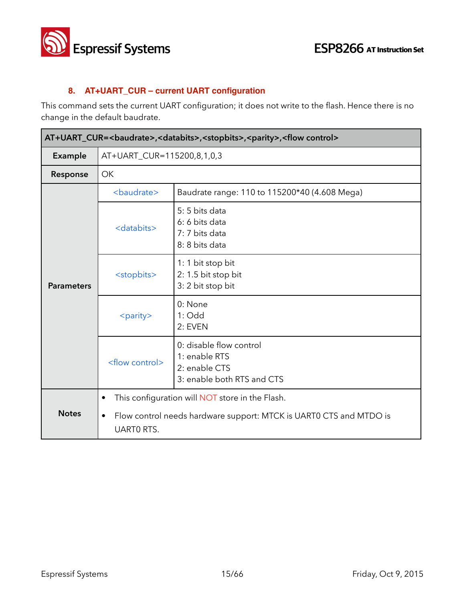

#### **8. AT+UART\_CUR – current UART configuration**

This command sets the current UART configuration; it does not write to the flash. Hence there is no change in the default baudrate.

| AT+UART_CUR= <baudrate>,<databits>,<stopbits>,<parity>,<flow control=""></flow></parity></stopbits></databits></baudrate> |                                                                                                                                                                      |                                                                                         |  |
|---------------------------------------------------------------------------------------------------------------------------|----------------------------------------------------------------------------------------------------------------------------------------------------------------------|-----------------------------------------------------------------------------------------|--|
| Example                                                                                                                   | AT+UART_CUR=115200,8,1,0,3                                                                                                                                           |                                                                                         |  |
| Response                                                                                                                  | <b>OK</b>                                                                                                                                                            |                                                                                         |  |
|                                                                                                                           | <baudrate></baudrate>                                                                                                                                                | Baudrate range: 110 to 115200*40 (4.608 Mega)                                           |  |
| <b>Parameters</b>                                                                                                         | <databits></databits>                                                                                                                                                | 5:5 bits data<br>6: 6 bits data<br>7: 7 bits data<br>8: 8 bits data                     |  |
|                                                                                                                           | <stopbits></stopbits>                                                                                                                                                | 1: 1 bit stop bit<br>2: 1.5 bit stop bit<br>3: 2 bit stop bit                           |  |
|                                                                                                                           | <parity></parity>                                                                                                                                                    | 0: None<br>$1:$ Odd<br>2: EVEN                                                          |  |
|                                                                                                                           | <flow control=""></flow>                                                                                                                                             | 0: disable flow control<br>1: enable RTS<br>2: enable CTS<br>3: enable both RTS and CTS |  |
| <b>Notes</b>                                                                                                              | This configuration will NOT store in the Flash.<br>$\bullet$<br>Flow control needs hardware support: MTCK is UART0 CTS and MTDO is<br>$\bullet$<br><b>UARTO RTS.</b> |                                                                                         |  |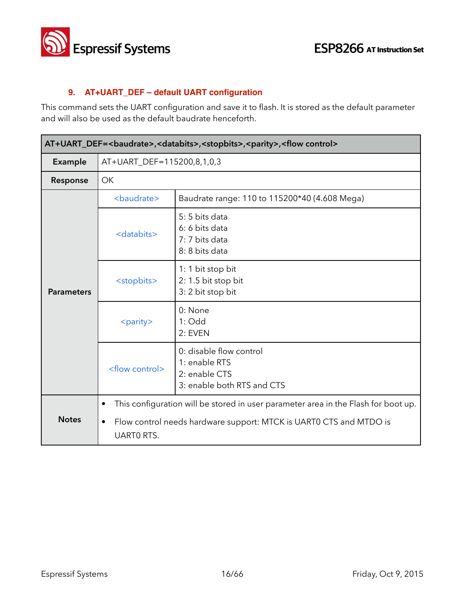

#### **9. AT+UART\_DEF – default UART configuration**

This command sets the UART configuration and save it to flash. It is stored as the default parameter and will also be used as the default baudrate henceforth.

| AT+UART_DEF=<br>baudrate>, <databits>,<stopbits>,<parity>,<flow control=""></flow></parity></stopbits></databits> |                                                                                                                                                                                                 |                                                                                         |  |
|-------------------------------------------------------------------------------------------------------------------|-------------------------------------------------------------------------------------------------------------------------------------------------------------------------------------------------|-----------------------------------------------------------------------------------------|--|
| Example                                                                                                           | AT+UART_DEF=115200,8,1,0,3                                                                                                                                                                      |                                                                                         |  |
| Response                                                                                                          | <b>OK</b>                                                                                                                                                                                       |                                                                                         |  |
|                                                                                                                   | <baudrate></baudrate>                                                                                                                                                                           | Baudrate range: 110 to 115200*40 (4.608 Mega)                                           |  |
| <b>Parameters</b>                                                                                                 | <databits></databits>                                                                                                                                                                           | 5:5 bits data<br>6: 6 bits data<br>7: 7 bits data<br>8: 8 bits data                     |  |
|                                                                                                                   | <stopbits></stopbits>                                                                                                                                                                           | 1: 1 bit stop bit<br>2: 1.5 bit stop bit<br>3: 2 bit stop bit                           |  |
|                                                                                                                   | <parity></parity>                                                                                                                                                                               | 0: None<br>$1:$ Odd<br>2: EVEN                                                          |  |
|                                                                                                                   | <flow control=""></flow>                                                                                                                                                                        | 0: disable flow control<br>1: enable RTS<br>2: enable CTS<br>3: enable both RTS and CTS |  |
| <b>Notes</b>                                                                                                      | This configuration will be stored in user parameter area in the Flash for boot up.<br>٠<br>Flow control needs hardware support: MTCK is UART0 CTS and MTDO is<br>$\bullet$<br><b>UARTO RTS.</b> |                                                                                         |  |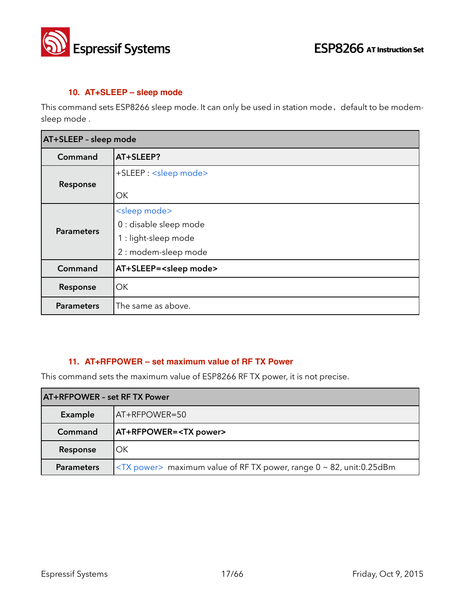

#### **10. AT+SLEEP – sleep mode**

This command sets ESP8266 sleep mode. It can only be used in station mode, default to be modemsleep mode .

| AT+SLEEP - sleep mode |                                                                                                      |  |  |
|-----------------------|------------------------------------------------------------------------------------------------------|--|--|
| Command               | AT+SLEEP?                                                                                            |  |  |
| Response              | +SLEEP : < sleep mode><br>ОК                                                                         |  |  |
| <b>Parameters</b>     | <sleep mode=""><br/>0 : disable sleep mode<br/>1 : light-sleep mode<br/>2 : modem-sleep mode</sleep> |  |  |
| Command               | AT+SLEEP= <sleep mode=""></sleep>                                                                    |  |  |
| Response              | OK                                                                                                   |  |  |
| <b>Parameters</b>     | The same as above.                                                                                   |  |  |

#### **11. AT+RFPOWER – set maximum value of RF TX Power**

This command sets the maximum value of ESP8266 RF TX power, it is not precise.

| <b>AT+RFPOWER - set RF TX Power</b> |                                                                              |
|-------------------------------------|------------------------------------------------------------------------------|
| Example                             | AT+RFPOWER=50                                                                |
| Command                             | <b>AT+RFPOWER=<tx power=""></tx></b>                                         |
| Response                            | OK                                                                           |
| <b>Parameters</b>                   | $\langle$ TX power> maximum value of RF TX power, range 0 ~ 82, unit:0.25dBm |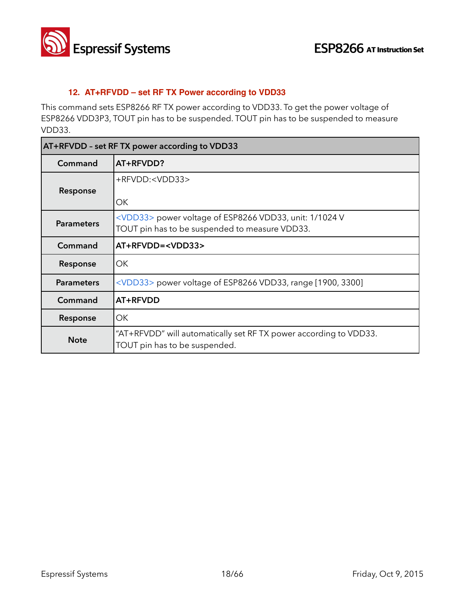

#### **12. AT+RFVDD – set RF TX Power according to VDD33**

This command sets ESP8266 RF TX power according to VDD33. To get the power voltage of ESP8266 VDD3P3, TOUT pin has to be suspended. TOUT pin has to be suspended to measure VDD33.

| AT+RFVDD - set RF TX power according to VDD33 |                                                                                                                   |
|-----------------------------------------------|-------------------------------------------------------------------------------------------------------------------|
| Command                                       | AT+RFVDD?                                                                                                         |
| Response                                      | +RFVDD: <vdd33><br/>ΟK</vdd33>                                                                                    |
| <b>Parameters</b>                             | <vdd33> power voltage of ESP8266 VDD33, unit: 1/1024 V<br/>TOUT pin has to be suspended to measure VDD33.</vdd33> |
| Command                                       | AT+RFVDD= <vdd33></vdd33>                                                                                         |
| Response                                      | OK.                                                                                                               |
| <b>Parameters</b>                             | <vdd33> power voltage of ESP8266 VDD33, range [1900, 3300]</vdd33>                                                |
| Command                                       | AT+RFVDD                                                                                                          |
| Response                                      | ОΚ                                                                                                                |
| <b>Note</b>                                   | "AT+RFVDD" will automatically set RFTX power according to VDD33.<br>TOUT pin has to be suspended.                 |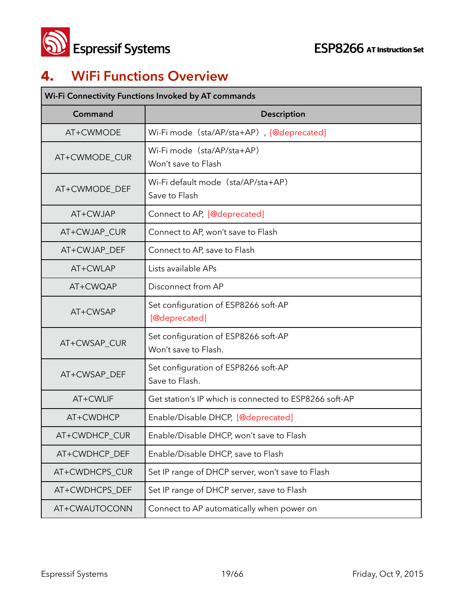

## **4. WiFi Functions Overview**

| Wi-Fi Connectivity Functions Invoked by AT commands |                                                              |  |
|-----------------------------------------------------|--------------------------------------------------------------|--|
| Command                                             | <b>Description</b>                                           |  |
| AT+CWMODE                                           | Wi-Fi mode (sta/AP/sta+AP), [@deprecated]                    |  |
| AT+CWMODE_CUR                                       | Wi-Fi mode (sta/AP/sta+AP)<br>Won't save to Flash            |  |
| AT+CWMODE_DEF                                       | Wi-Fi default mode (sta/AP/sta+AP)<br>Save to Flash          |  |
| AT+CWJAP                                            | Connect to AP, [@deprecated]                                 |  |
| AT+CWJAP_CUR                                        | Connect to AP, won't save to Flash                           |  |
| AT+CWJAP DEF                                        | Connect to AP, save to Flash                                 |  |
| AT+CWLAP                                            | Lists available APs                                          |  |
| AT+CWQAP                                            | Disconnect from AP                                           |  |
| AT+CWSAP                                            | Set configuration of ESP8266 soft-AP<br>[@deprecated]        |  |
| AT+CWSAP_CUR                                        | Set configuration of ESP8266 soft-AP<br>Won't save to Flash. |  |
| AT+CWSAP_DEF                                        | Set configuration of ESP8266 soft-AP<br>Save to Flash.       |  |
| AT+CWLIF                                            | Get station's IP which is connected to ESP8266 soft-AP       |  |
| AT+CWDHCP                                           | Enable/Disable DHCP, [@deprecated]                           |  |
| AT+CWDHCP_CUR                                       | Enable/Disable DHCP, won't save to Flash                     |  |
| AT+CWDHCP_DEF                                       | Enable/Disable DHCP, save to Flash                           |  |
| AT+CWDHCPS_CUR                                      | Set IP range of DHCP server, won't save to Flash             |  |
| AT+CWDHCPS_DEF                                      | Set IP range of DHCP server, save to Flash                   |  |
| AT+CWAUTOCONN                                       | Connect to AP automatically when power on                    |  |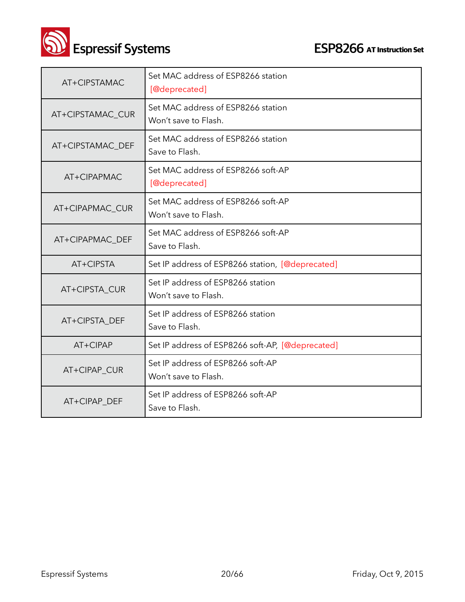**CON**<br>**ESP8266** AT Instruction Set

| AT+CIPSTAMAC     | Set MAC address of ESP8266 station<br>[@deprecated]        |
|------------------|------------------------------------------------------------|
| AT+CIPSTAMAC_CUR | Set MAC address of ESP8266 station<br>Won't save to Flash. |
| AT+CIPSTAMAC_DEF | Set MAC address of ESP8266 station<br>Save to Flash.       |
| AT+CIPAPMAC      | Set MAC address of ESP8266 soft-AP<br>[@deprecated]        |
| AT+CIPAPMAC_CUR  | Set MAC address of ESP8266 soft-AP<br>Won't save to Flash. |
| AT+CIPAPMAC_DEF  | Set MAC address of ESP8266 soft-AP<br>Save to Flash.       |
| AT+CIPSTA        | Set IP address of ESP8266 station, [@deprecated]           |
| AT+CIPSTA_CUR    | Set IP address of ESP8266 station<br>Won't save to Flash.  |
| AT+CIPSTA_DEF    | Set IP address of ESP8266 station<br>Save to Flash.        |
| AT+CIPAP         | Set IP address of ESP8266 soft-AP, [@deprecated]           |
| AT+CIPAP_CUR     | Set IP address of ESP8266 soft-AP<br>Won't save to Flash.  |
| AT+CIPAP_DEF     | Set IP address of ESP8266 soft-AP<br>Save to Flash.        |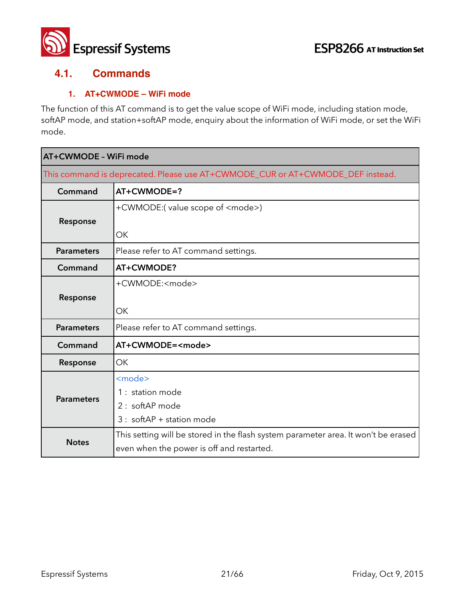

#### **4.1. Commands**

#### **1. AT+CWMODE – WiFi mode**

The function of this AT command is to get the value scope of WiFi mode, including station mode, softAP mode, and station+softAP mode, enquiry about the information of WiFi mode, or set the WiFi mode.

|                                                                                | AT+CWMODE - WiFi mode                                                              |  |
|--------------------------------------------------------------------------------|------------------------------------------------------------------------------------|--|
| This command is deprecated. Please use AT+CWMODE_CUR or AT+CWMODE_DEF instead. |                                                                                    |  |
| Command                                                                        | AT+CWMODE=?                                                                        |  |
|                                                                                | +CWMODE:(value scope of <mode>)</mode>                                             |  |
| Response                                                                       |                                                                                    |  |
|                                                                                | OK                                                                                 |  |
| <b>Parameters</b>                                                              | Please refer to AT command settings.                                               |  |
| Command                                                                        | AT+CWMODE?                                                                         |  |
|                                                                                | +CWMODE: <mode></mode>                                                             |  |
| Response                                                                       |                                                                                    |  |
|                                                                                | OK                                                                                 |  |
| <b>Parameters</b>                                                              | Please refer to AT command settings.                                               |  |
| Command                                                                        | AT+CWMODE= <mode></mode>                                                           |  |
| Response                                                                       | OK                                                                                 |  |
|                                                                                | <mode></mode>                                                                      |  |
| <b>Parameters</b>                                                              | 1 : station mode                                                                   |  |
|                                                                                | 2 : softAP mode                                                                    |  |
|                                                                                | $3:$ softAP + station mode                                                         |  |
|                                                                                | This setting will be stored in the flash system parameter area. It won't be erased |  |
| <b>Notes</b>                                                                   | even when the power is off and restarted.                                          |  |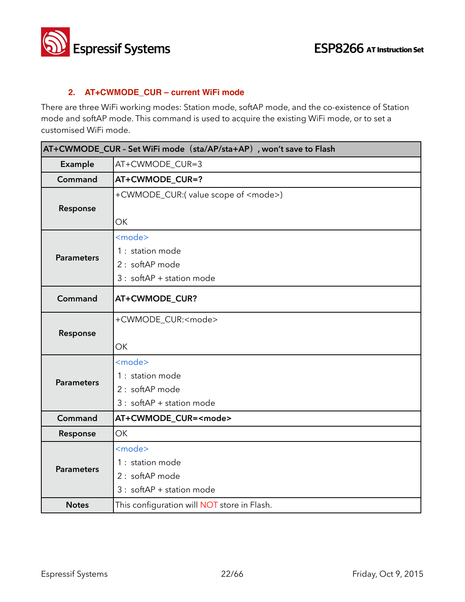

#### **2. AT+CWMODE\_CUR – current WiFi mode**

There are three WiFi working modes: Station mode, softAP mode, and the co-existence of Station mode and softAP mode. This command is used to acquire the existing WiFi mode, or to set a customised WiFi mode.

| AT+CWMODE_CUR - Set WiFi mode (sta/AP/sta+AP), won't save to Flash |                                                                                      |
|--------------------------------------------------------------------|--------------------------------------------------------------------------------------|
| Example                                                            | AT+CWMODE CUR=3                                                                      |
| Command                                                            | AT+CWMODE_CUR=?                                                                      |
| Response                                                           | +CWMODE_CUR:(value scope of <mode>)<br/>OK</mode>                                    |
| <b>Parameters</b>                                                  | <mode><br/>1 : station mode<br/>2 : softAP mode<br/>3 : softAP + station mode</mode> |
| Command                                                            | AT+CWMODE_CUR?                                                                       |
| Response                                                           | +CWMODE_CUR: <mode><br/><b>OK</b></mode>                                             |
| <b>Parameters</b>                                                  | <mode><br/>1 : station mode<br/>2 : softAP mode<br/>3 : softAP + station mode</mode> |
| Command                                                            | AT+CWMODE_CUR= <mode></mode>                                                         |
| Response                                                           | <b>OK</b>                                                                            |
| <b>Parameters</b>                                                  | <mode><br/>1 : station mode<br/>2 : softAP mode<br/>3 : softAP + station mode</mode> |
| <b>Notes</b>                                                       | This configuration will NOT store in Flash.                                          |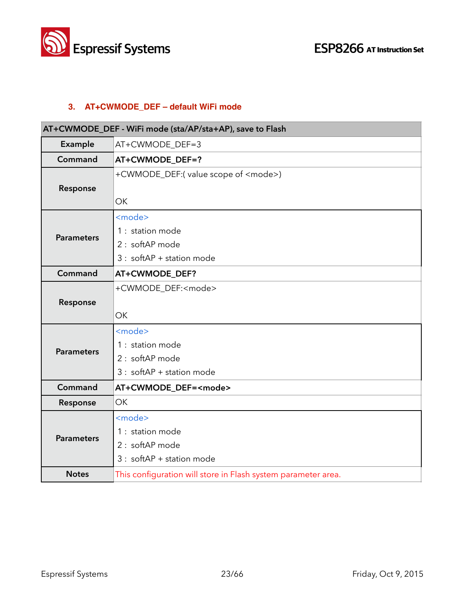

#### **3. AT+CWMODE\_DEF – default WiFi mode**

| AT+CWMODE_DEF - WiFi mode (sta/AP/sta+AP), save to Flash |                                                                                                  |
|----------------------------------------------------------|--------------------------------------------------------------------------------------------------|
| Example                                                  | AT+CWMODE_DEF=3                                                                                  |
| Command                                                  | AT+CWMODE_DEF=?                                                                                  |
| Response                                                 | +CWMODE_DEF:(value scope of <mode>)<br/><b>OK</b></mode>                                         |
| <b>Parameters</b>                                        | <mode><br/>1 : station mode<br/>2 : softAP mode<br/><math>3:</math> softAP + station mode</mode> |
| Command                                                  | AT+CWMODE_DEF?                                                                                   |
| Response                                                 | +CWMODE_DEF: <mode><br/><b>OK</b></mode>                                                         |
| <b>Parameters</b>                                        | <mode><br/>1 : station mode<br/>2 : softAP mode<br/><math>3:</math> softAP + station mode</mode> |
| Command                                                  | AT+CWMODE_DEF= <mode></mode>                                                                     |
| Response                                                 | <b>OK</b>                                                                                        |
| <b>Parameters</b>                                        | <mode><br/>1 : station mode<br/>2 : softAP mode<br/>3 : softAP + station mode</mode>             |
| <b>Notes</b>                                             | This configuration will store in Flash system parameter area.                                    |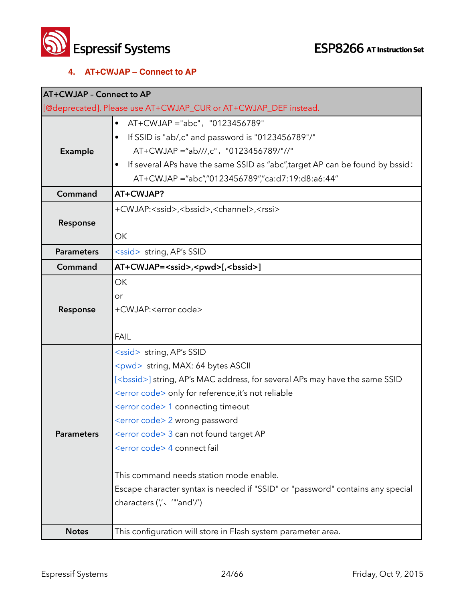

#### **4. AT+CWJAP – Connect to AP**

| <b>AT+CWJAP - Connect to AP</b> |                                                                                                                                                                                                                                                                                                                                                                                                                                                                                                                                                                                                 |
|---------------------------------|-------------------------------------------------------------------------------------------------------------------------------------------------------------------------------------------------------------------------------------------------------------------------------------------------------------------------------------------------------------------------------------------------------------------------------------------------------------------------------------------------------------------------------------------------------------------------------------------------|
|                                 | [@deprecated]. Please use AT+CWJAP_CUR or AT+CWJAP_DEF instead.                                                                                                                                                                                                                                                                                                                                                                                                                                                                                                                                 |
| Example                         | AT+CWJAP ="abc", "0123456789"<br>$\bullet$<br>If SSID is "ab/,c" and password is "0123456789"/"<br>AT+CWJAP ="ab///,c", "0123456789/"//"<br>If several APs have the same SSID as "abc", target AP can be found by bssid:<br>AT+CWJAP ="abc","0123456789","ca:d7:19:d8:a6:44"                                                                                                                                                                                                                                                                                                                    |
| Command                         | AT+CWJAP?                                                                                                                                                                                                                                                                                                                                                                                                                                                                                                                                                                                       |
| Response                        | +CWJAP: <ssid>,<bssid>,<channel>,<rssi><br/>ОK</rssi></channel></bssid></ssid>                                                                                                                                                                                                                                                                                                                                                                                                                                                                                                                  |
| <b>Parameters</b>               | <ssid> string, AP's SSID</ssid>                                                                                                                                                                                                                                                                                                                                                                                                                                                                                                                                                                 |
| Command                         | AT+CWJAP= <ssid>,<pwd>[,<bssid>]</bssid></pwd></ssid>                                                                                                                                                                                                                                                                                                                                                                                                                                                                                                                                           |
| Response                        | OK<br>or<br>+CWJAP: <error code=""><br/><b>FAIL</b></error>                                                                                                                                                                                                                                                                                                                                                                                                                                                                                                                                     |
| <b>Parameters</b>               | <ssid> string, AP's SSID<br/><pwd> string, MAX: 64 bytes ASCII<br/>[<bssid>] string, AP's MAC address, for several APs may have the same SSID<br/><error code=""> only for reference, it's not reliable<br/><error code=""> 1 connecting timeout<br/><error code=""> 2 wrong password<br/><error code=""> 3 can not found target AP<br/><error code=""> 4 connect fail<br/>This command needs station mode enable.<br/>Escape character syntax is needed if "SSID" or "password" contains any special<br/>characters (", ""and'/")</error></error></error></error></error></bssid></pwd></ssid> |
| <b>Notes</b>                    | This configuration will store in Flash system parameter area.                                                                                                                                                                                                                                                                                                                                                                                                                                                                                                                                   |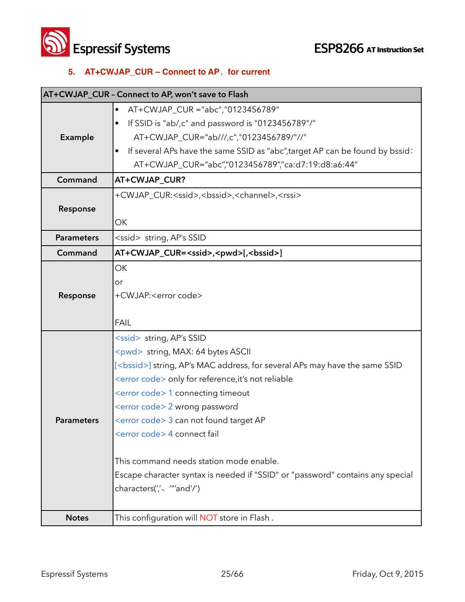**Solution Systems**<br> **ESP8266** AT Instruction Set

#### **5. AT+CWJAP\_CUR – Connect to AP**, for current

|                   | AT+CWJAP_CUR - Connect to AP, won't save to Flash                                   |
|-------------------|-------------------------------------------------------------------------------------|
|                   | AT+CWJAP_CUR ="abc","0123456789"<br>$\bullet$                                       |
|                   | If SSID is "ab/,c" and password is "0123456789"/"                                   |
| Example           | AT+CWJAP_CUR="ab///,c","0123456789/"//"                                             |
|                   | If several APs have the same SSID as "abc", target AP can be found by bssid:        |
|                   | AT+CWJAP_CUR="abc","0123456789","ca:d7:19:d8:a6:44"                                 |
| Command           | AT+CWJAP_CUR?                                                                       |
|                   | +CWJAP_CUR: <ssid>,<bssid>,<channel>,<rssi></rssi></channel></bssid></ssid>         |
| Response          |                                                                                     |
|                   | OK                                                                                  |
| <b>Parameters</b> | <ssid> string, AP's SSID</ssid>                                                     |
| Command           | AT+CWJAP_CUR= <ssid>,<pwd>[,<bssid>]</bssid></pwd></ssid>                           |
|                   | <b>OK</b>                                                                           |
|                   | or                                                                                  |
| Response          | +CWJAP: <error code=""></error>                                                     |
|                   |                                                                                     |
|                   | <b>FAIL</b>                                                                         |
|                   | <ssid> string, AP's SSID</ssid>                                                     |
|                   | <pwd> string, MAX: 64 bytes ASCII</pwd>                                             |
|                   | [ <bssid>] string, AP's MAC address, for several APs may have the same SSID</bssid> |
|                   | <error code=""> only for reference, it's not reliable</error>                       |
|                   | <error code=""> 1 connecting timeout</error>                                        |
|                   | <error code=""> 2 wrong password</error>                                            |
| <b>Parameters</b> | <error code=""> 3 can not found target AP</error>                                   |
|                   | <error code=""> 4 connect fail</error>                                              |
|                   | This command needs station mode enable.                                             |
|                   | Escape character syntax is needed if "SSID" or "password" contains any special      |
|                   | characters(",< ""and'/")                                                            |
|                   |                                                                                     |
| <b>Notes</b>      | This configuration will NOT store in Flash.                                         |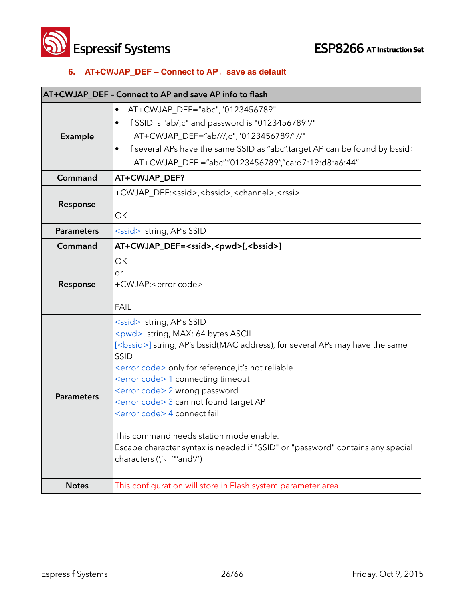**Solution Systems ESP8266** AT Instruction Set

## **6. AT+CWJAP\_DEF – Connect to AP**,**save as default**

|                   | AT+CWJAP_DEF - Connect to AP and save AP info to flash                                                                                                                                                                                                                                                                                                                                                                                                                                                                                                                                                            |
|-------------------|-------------------------------------------------------------------------------------------------------------------------------------------------------------------------------------------------------------------------------------------------------------------------------------------------------------------------------------------------------------------------------------------------------------------------------------------------------------------------------------------------------------------------------------------------------------------------------------------------------------------|
| Example           | AT+CWJAP_DEF="abc","0123456789"<br>٠<br>If SSID is "ab/,c" and password is "0123456789"/"<br>AT+CWJAP_DEF="ab///,c","0123456789/"//"<br>If several APs have the same SSID as "abc", target AP can be found by bssid:<br>AT+CWJAP_DEF ="abc","0123456789","ca:d7:19:d8:a6:44"                                                                                                                                                                                                                                                                                                                                      |
| Command           | AT+CWJAP_DEF?                                                                                                                                                                                                                                                                                                                                                                                                                                                                                                                                                                                                     |
| Response          | +CWJAP_DEF: <ssid>,<bssid>,<channel>,<rssi><br/>OK</rssi></channel></bssid></ssid>                                                                                                                                                                                                                                                                                                                                                                                                                                                                                                                                |
| <b>Parameters</b> | <ssid> string, AP's SSID</ssid>                                                                                                                                                                                                                                                                                                                                                                                                                                                                                                                                                                                   |
| Command           | AT+CWJAP_DEF= <ssid>,<pwd>[,<bssid>]</bssid></pwd></ssid>                                                                                                                                                                                                                                                                                                                                                                                                                                                                                                                                                         |
| Response          | OK<br>or<br>+CWJAP: <error code=""><br/><b>FAIL</b></error>                                                                                                                                                                                                                                                                                                                                                                                                                                                                                                                                                       |
| <b>Parameters</b> | <ssid> string, AP's SSID<br/><pwd> string, MAX: 64 bytes ASCII<br/>[<bssid>] string, AP's bssid(MAC address), for several APs may have the same<br/><b>SSID</b><br/><error code=""> only for reference, it's not reliable<br/><error code=""> 1 connecting timeout<br/><error code=""> 2 wrong password<br/><error code=""> 3 can not found target AP<br/><error code=""> 4 connect fail<br/>This command needs station mode enable.<br/>Escape character syntax is needed if "SSID" or "password" contains any special<br/>characters (", ""and'/")</error></error></error></error></error></bssid></pwd></ssid> |
| <b>Notes</b>      | This configuration will store in Flash system parameter area.                                                                                                                                                                                                                                                                                                                                                                                                                                                                                                                                                     |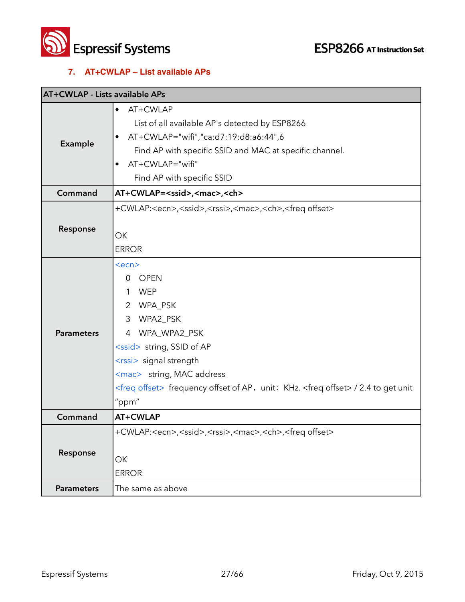

#### **7. AT+CWLAP – List available APs**

| <b>AT+CWLAP - Lists available APs</b> |                                                                                                                                                                                                                                                                                                                                                        |
|---------------------------------------|--------------------------------------------------------------------------------------------------------------------------------------------------------------------------------------------------------------------------------------------------------------------------------------------------------------------------------------------------------|
| Example                               | AT+CWLAP<br>$\bullet$<br>List of all available AP's detected by ESP8266<br>AT+CWLAP="wifi","ca:d7:19:d8:a6:44",6<br>Find AP with specific SSID and MAC at specific channel.<br>AT+CWLAP="wifi"<br>Find AP with specific SSID                                                                                                                           |
| Command                               | AT+CWLAP= <ssid>,<mac>,<ch></ch></mac></ssid>                                                                                                                                                                                                                                                                                                          |
| Response                              | +CWLAP: <ecn>,<ssid>,<rssi>,<mac>,<ch>,<freq offset=""><br/>OK<br/><b>ERROR</b></freq></ch></mac></rssi></ssid></ecn>                                                                                                                                                                                                                                  |
| <b>Parameters</b>                     | $<$ ecn $>$<br><b>OPEN</b><br>$\Omega$<br><b>WEP</b><br>1<br>$\overline{2}$<br>WPA_PSK<br>WPA2_PSK<br>3<br>4 WPA_WPA2_PSK<br><ssid> string, SSID of AP<br/><rssi> signal strength<br/><mac> string, MAC address<br/><freq offset=""> frequency offset of AP, unit: KHz. <freq offset=""> / 2.4 to get unit<br/>"ppm"</freq></freq></mac></rssi></ssid> |
| Command                               | AT+CWLAP                                                                                                                                                                                                                                                                                                                                               |
| Response                              | +CWLAP: <ecn>,<ssid>,<rssi>,<mac>,<ch>,<freq offset=""><br/>ОК<br/><b>ERROR</b></freq></ch></mac></rssi></ssid></ecn>                                                                                                                                                                                                                                  |
| <b>Parameters</b>                     | The same as above                                                                                                                                                                                                                                                                                                                                      |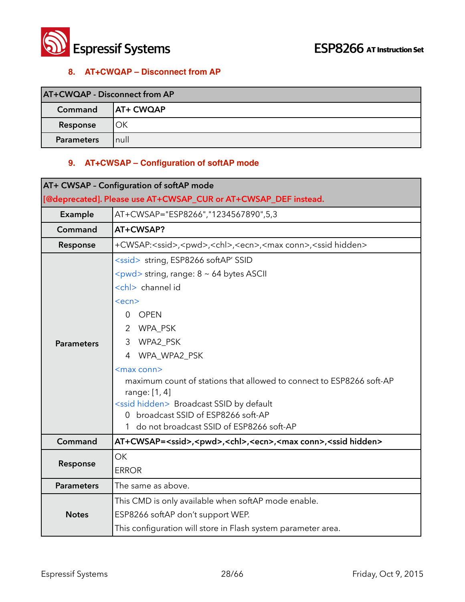

#### **8. AT+CWQAP – Disconnect from AP**

| AT+CWQAP - Disconnect from AP |                  |
|-------------------------------|------------------|
| Command                       | <b>AT+ CWQAP</b> |
| Response                      | ОК               |
| <b>Parameters</b>             | 'null            |

#### **9. AT+CWSAP – Configuration of softAP mode**

| <b>AT+ CWSAP - Configuration of softAP mode</b>                 |                                                                                                                                                                                                                                                                                                                                                                                                                                                                                                                               |
|-----------------------------------------------------------------|-------------------------------------------------------------------------------------------------------------------------------------------------------------------------------------------------------------------------------------------------------------------------------------------------------------------------------------------------------------------------------------------------------------------------------------------------------------------------------------------------------------------------------|
| [@deprecated]. Please use AT+CWSAP_CUR or AT+CWSAP_DEF instead. |                                                                                                                                                                                                                                                                                                                                                                                                                                                                                                                               |
| Example                                                         | AT+CWSAP="ESP8266","1234567890",5,3                                                                                                                                                                                                                                                                                                                                                                                                                                                                                           |
| Command                                                         | AT+CWSAP?                                                                                                                                                                                                                                                                                                                                                                                                                                                                                                                     |
| Response                                                        | +CWSAP: <ssid>,<pwd>,<chl>,<ecn>,<max conn="">,<ssid hidden=""></ssid></max></ecn></chl></pwd></ssid>                                                                                                                                                                                                                                                                                                                                                                                                                         |
| <b>Parameters</b>                                               | <ssid> string, ESP8266 softAP' SSID<br/><math>\langle \text{pwd} \rangle</math> string, range: <math>8 \sim 64</math> bytes ASCII<br/><chl> channel id<br/><ecn><br/><b>OPEN</b><br/>0<br/>2 WPA_PSK<br/>3 WPA2_PSK<br/>WPA_WPA2_PSK<br/>4<br/><max conn=""><br/>maximum count of stations that allowed to connect to ESP8266 soft-AP<br/>range: [1, 4]<br/><ssid hidden=""> Broadcast SSID by default<br/>0 broadcast SSID of ESP8266 soft-AP<br/>1 do not broadcast SSID of ESP8266 soft-AP</ssid></max></ecn></chl></ssid> |
| Command                                                         | AT+CWSAP= <ssid>,<pwd>,<chl>,<ecn>,<max conn="">,<ssid hidden=""></ssid></max></ecn></chl></pwd></ssid>                                                                                                                                                                                                                                                                                                                                                                                                                       |
| Response                                                        | <b>OK</b><br><b>ERROR</b>                                                                                                                                                                                                                                                                                                                                                                                                                                                                                                     |
| <b>Parameters</b>                                               | The same as above.                                                                                                                                                                                                                                                                                                                                                                                                                                                                                                            |
| <b>Notes</b>                                                    | This CMD is only available when softAP mode enable.<br>ESP8266 softAP don't support WEP.<br>This configuration will store in Flash system parameter area.                                                                                                                                                                                                                                                                                                                                                                     |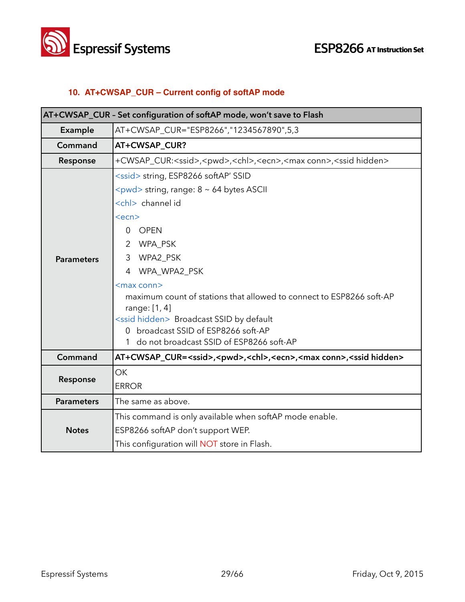

#### **10. AT+CWSAP\_CUR – Current config of softAP mode**

| AT+CWSAP_CUR - Set configuration of softAP mode, won't save to Flash |                                                                                                                                                                                                                                                                                                                                                                                                                                                                                                                 |
|----------------------------------------------------------------------|-----------------------------------------------------------------------------------------------------------------------------------------------------------------------------------------------------------------------------------------------------------------------------------------------------------------------------------------------------------------------------------------------------------------------------------------------------------------------------------------------------------------|
| Example                                                              | AT+CWSAP_CUR="ESP8266","1234567890",5,3                                                                                                                                                                                                                                                                                                                                                                                                                                                                         |
| Command                                                              | AT+CWSAP_CUR?                                                                                                                                                                                                                                                                                                                                                                                                                                                                                                   |
| Response                                                             | +CWSAP_CUR: <ssid>,<pwd>,<chl>,<ecn>,<max conn="">,<ssid hidden=""></ssid></max></ecn></chl></pwd></ssid>                                                                                                                                                                                                                                                                                                                                                                                                       |
| <b>Parameters</b>                                                    | <ssid> string, ESP8266 softAP' SSID<br/><pwd> string, range: 8 ~ 64 bytes ASCII<br/><chl> channel id<br/><math>&lt;</math>ecn<math>&gt;</math><br/><b>OPEN</b><br/>0<br/>WPA_PSK<br/>2<br/>WPA2_PSK<br/>3<br/>4 WPA_WPA2_PSK<br/><max conn=""><br/>maximum count of stations that allowed to connect to ESP8266 soft-AP<br/>range: [1, 4]<br/><ssid hidden=""> Broadcast SSID by default<br/>0 broadcast SSID of ESP8266 soft-AP<br/>1 do not broadcast SSID of ESP8266 soft-AP</ssid></max></chl></pwd></ssid> |
| Command                                                              | AT+CWSAP_CUR= <ssid>,<pwd>,<chl>,<ecn>,<max conn="">,<ssid hidden=""></ssid></max></ecn></chl></pwd></ssid>                                                                                                                                                                                                                                                                                                                                                                                                     |
| Response                                                             | <b>OK</b><br><b>ERROR</b>                                                                                                                                                                                                                                                                                                                                                                                                                                                                                       |
| <b>Parameters</b>                                                    | The same as above.                                                                                                                                                                                                                                                                                                                                                                                                                                                                                              |
| <b>Notes</b>                                                         | This command is only available when softAP mode enable.<br>ESP8266 softAP don't support WEP.<br>This configuration will NOT store in Flash.                                                                                                                                                                                                                                                                                                                                                                     |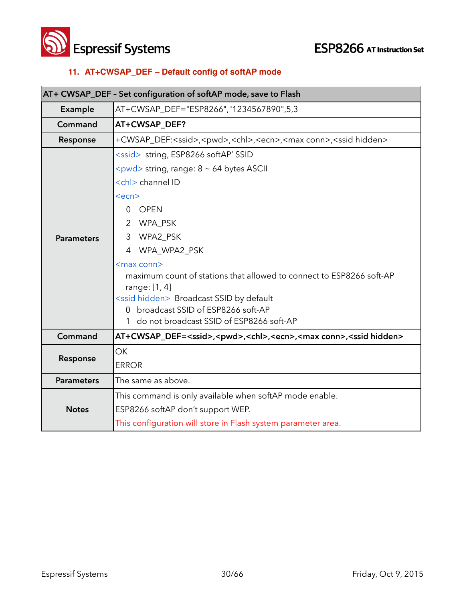



#### **11. AT+CWSAP\_DEF – Default config of softAP mode**

| AT+ CWSAP_DEF - Set configuration of softAP mode, save to Flash |                                                                                                                                                                                                                                                                                                                                                                                                                                                                                                      |
|-----------------------------------------------------------------|------------------------------------------------------------------------------------------------------------------------------------------------------------------------------------------------------------------------------------------------------------------------------------------------------------------------------------------------------------------------------------------------------------------------------------------------------------------------------------------------------|
| Example                                                         | AT+CWSAP_DEF="ESP8266","1234567890",5,3                                                                                                                                                                                                                                                                                                                                                                                                                                                              |
| Command                                                         | AT+CWSAP_DEF?                                                                                                                                                                                                                                                                                                                                                                                                                                                                                        |
| Response                                                        | +CWSAP_DEF: <ssid>,<pwd>,<chl>,<ecn>,<max conn="">,<ssid hidden=""></ssid></max></ecn></chl></pwd></ssid>                                                                                                                                                                                                                                                                                                                                                                                            |
| <b>Parameters</b>                                               | <ssid> string, ESP8266 softAP' SSID<br/><pwd> string, range: 8 ~ 64 bytes ASCII<br/><chl> channel ID<br/><ecn><br/><b>OPEN</b><br/>0<br/>2 WPA_PSK<br/>3 WPA2_PSK<br/>4 WPA_WPA2_PSK<br/><math>&lt;</math>max conn<math>&gt;</math><br/>maximum count of stations that allowed to connect to ESP8266 soft-AP<br/>range: [1, 4]<br/><ssid hidden=""> Broadcast SSID by default<br/>0 broadcast SSID of ESP8266 soft-AP<br/>1 do not broadcast SSID of ESP8266 soft-AP</ssid></ecn></chl></pwd></ssid> |
| Command                                                         | AT+CWSAP_DEF= <ssid>,<pwd>,<chl>,<ecn>,<max conn="">,<ssid hidden=""></ssid></max></ecn></chl></pwd></ssid>                                                                                                                                                                                                                                                                                                                                                                                          |
| Response                                                        | <b>OK</b><br><b>ERROR</b>                                                                                                                                                                                                                                                                                                                                                                                                                                                                            |
| <b>Parameters</b>                                               | The same as above.                                                                                                                                                                                                                                                                                                                                                                                                                                                                                   |
| <b>Notes</b>                                                    | This command is only available when softAP mode enable.<br>ESP8266 softAP don't support WEP.<br>This configuration will store in Flash system parameter area.                                                                                                                                                                                                                                                                                                                                        |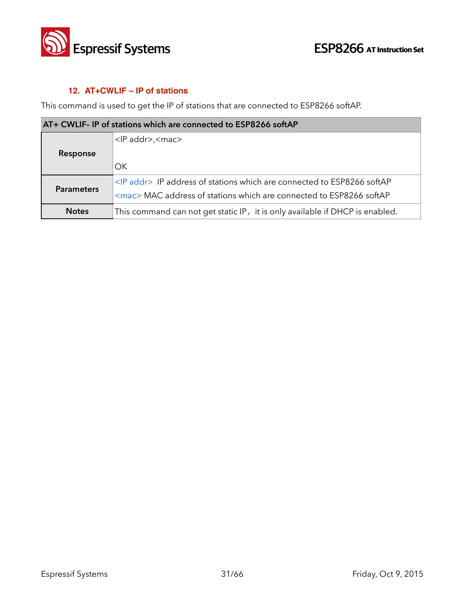

#### **12. AT+CWLIF – IP of stations**

This command is used to get the IP of stations that are connected to ESP8266 softAP.

| AT+ CWLIF- IP of stations which are connected to ESP8266 softAP |                                                                                |
|-----------------------------------------------------------------|--------------------------------------------------------------------------------|
|                                                                 | <ip addr="">,<mac></mac></ip>                                                  |
| Response                                                        |                                                                                |
|                                                                 | OK                                                                             |
| <b>Parameters</b>                                               | <ip addr=""> IP address of stations which are connected to ESP8266 softAP</ip> |
|                                                                 | <mac> MAC address of stations which are connected to ESP8266 softAP</mac>      |
| <b>Notes</b>                                                    | This command can not get static IP, it is only available if DHCP is enabled.   |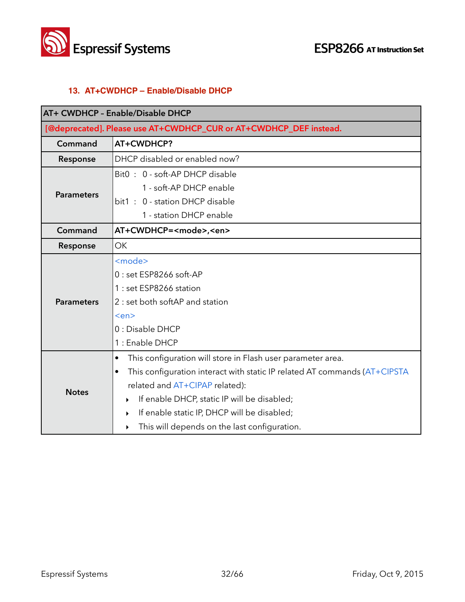

#### **13. AT+CWDHCP – Enable/Disable DHCP**

| AT+ CWDHCP - Enable/Disable DHCP |                                                                                        |  |
|----------------------------------|----------------------------------------------------------------------------------------|--|
|                                  | [@deprecated]. Please use AT+CWDHCP_CUR or AT+CWDHCP_DEF instead.                      |  |
| Command                          | AT+CWDHCP?                                                                             |  |
| Response                         | DHCP disabled or enabled now?                                                          |  |
|                                  | Bit0: 0 - soft-AP DHCP disable                                                         |  |
| <b>Parameters</b>                | 1 - soft-AP DHCP enable                                                                |  |
|                                  | bit1: 0 - station DHCP disable                                                         |  |
|                                  | 1 - station DHCP enable                                                                |  |
| Command                          | AT+CWDHCP= <mode>,<en></en></mode>                                                     |  |
| Response                         | <b>OK</b>                                                                              |  |
|                                  | <mode></mode>                                                                          |  |
|                                  | 0 : set ESP8266 soft-AP                                                                |  |
|                                  | 1 : set ESP8266 station                                                                |  |
| <b>Parameters</b>                | 2 : set both softAP and station                                                        |  |
|                                  | <en></en>                                                                              |  |
|                                  | 0 : Disable DHCP                                                                       |  |
|                                  | 1 : Enable DHCP                                                                        |  |
|                                  | This configuration will store in Flash user parameter area.<br>$\bullet$               |  |
|                                  | This configuration interact with static IP related AT commands (AT+CIPSTA<br>$\bullet$ |  |
| <b>Notes</b>                     | related and AT+CIPAP related):                                                         |  |
|                                  | If enable DHCP, static IP will be disabled;<br>▶                                       |  |
|                                  | If enable static IP, DHCP will be disabled;<br>$\blacktriangleright$                   |  |
|                                  | This will depends on the last configuration.<br>▶                                      |  |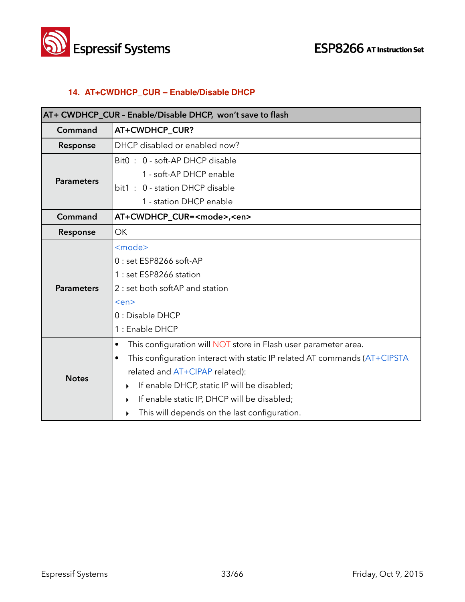



#### **14. AT+CWDHCP\_CUR – Enable/Disable DHCP**

| AT+ CWDHCP_CUR - Enable/Disable DHCP, won't save to flash |                                                                                        |
|-----------------------------------------------------------|----------------------------------------------------------------------------------------|
| Command                                                   | AT+CWDHCP_CUR?                                                                         |
| Response                                                  | DHCP disabled or enabled now?                                                          |
|                                                           | Bit0: 0 - soft-AP DHCP disable                                                         |
| <b>Parameters</b>                                         | 1 - soft-AP DHCP enable                                                                |
|                                                           | bit1: 0 - station DHCP disable                                                         |
|                                                           | 1 - station DHCP enable                                                                |
| Command                                                   | AT+CWDHCP_CUR= <mode>,<en></en></mode>                                                 |
| Response                                                  | <b>OK</b>                                                                              |
|                                                           | <mode></mode>                                                                          |
|                                                           | $0:$ set ESP8266 soft-AP                                                               |
|                                                           | 1 : set ESP8266 station                                                                |
| <b>Parameters</b>                                         | 2 : set both softAP and station                                                        |
|                                                           | <en></en>                                                                              |
|                                                           | 0 : Disable DHCP                                                                       |
|                                                           | 1 : Enable DHCP                                                                        |
|                                                           | This configuration will NOT store in Flash user parameter area.<br>$\bullet$           |
|                                                           | This configuration interact with static IP related AT commands (AT+CIPSTA<br>$\bullet$ |
| <b>Notes</b>                                              | related and AT+CIPAP related):                                                         |
|                                                           | If enable DHCP, static IP will be disabled;<br>▶                                       |
|                                                           | If enable static IP, DHCP will be disabled;<br>▶                                       |
|                                                           | This will depends on the last configuration.<br>▶                                      |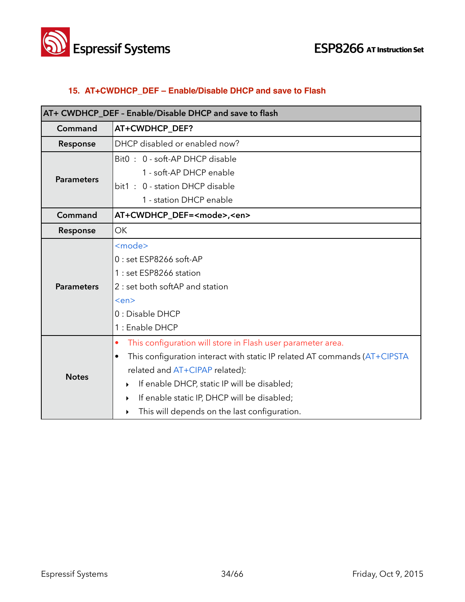



#### **15. AT+CWDHCP\_DEF – Enable/Disable DHCP and save to Flash**

| AT+ CWDHCP_DEF - Enable/Disable DHCP and save to flash |                                                                           |
|--------------------------------------------------------|---------------------------------------------------------------------------|
| Command                                                | AT+CWDHCP_DEF?                                                            |
| Response                                               | DHCP disabled or enabled now?                                             |
|                                                        | Bit0: 0 - soft-AP DHCP disable                                            |
| <b>Parameters</b>                                      | 1 - soft-AP DHCP enable                                                   |
|                                                        | bit1: 0 - station DHCP disable                                            |
|                                                        | 1 - station DHCP enable                                                   |
| Command                                                | AT+CWDHCP_DEF= <mode>,<en></en></mode>                                    |
| Response                                               | <b>OK</b>                                                                 |
|                                                        | <mode></mode>                                                             |
|                                                        | 0 : set ESP8266 soft-AP                                                   |
|                                                        | 1 : set ESP8266 station                                                   |
| <b>Parameters</b>                                      | 2 : set both softAP and station                                           |
|                                                        | <en></en>                                                                 |
|                                                        | 0 : Disable DHCP                                                          |
|                                                        | 1 : Enable DHCP                                                           |
|                                                        | This configuration will store in Flash user parameter area.<br>$\bullet$  |
|                                                        | This configuration interact with static IP related AT commands (AT+CIPSTA |
| <b>Notes</b>                                           | related and AT+CIPAP related):                                            |
|                                                        | If enable DHCP, static IP will be disabled;<br>▶                          |
|                                                        | If enable static IP, DHCP will be disabled;<br>▶                          |
|                                                        | This will depends on the last configuration.<br>▶                         |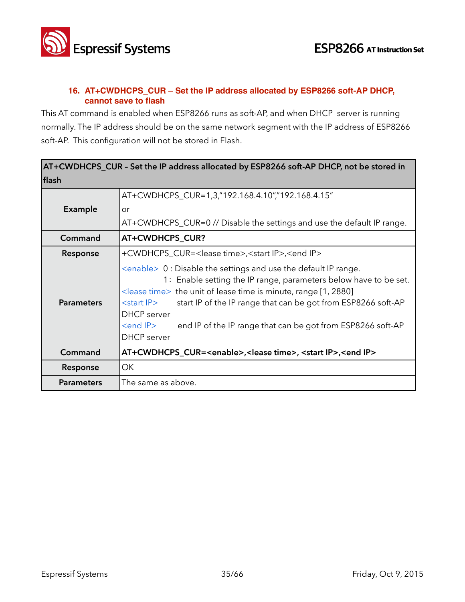

#### **16. AT+CWDHCPS\_CUR – Set the IP address allocated by ESP8266 soft-AP DHCP, cannot save to flash**

This AT command is enabled when ESP8266 runs as soft-AP, and when DHCP server is running normally. The IP address should be on the same network segment with the IP address of ESP8266 soft-AP. This configuration will not be stored in Flash.

| AT+CWDHCPS_CUR - Set the IP address allocated by ESP8266 soft-AP DHCP, not be stored in |                                                                                                                                                                                                                                                                                                                                                                                                                                           |
|-----------------------------------------------------------------------------------------|-------------------------------------------------------------------------------------------------------------------------------------------------------------------------------------------------------------------------------------------------------------------------------------------------------------------------------------------------------------------------------------------------------------------------------------------|
| flash                                                                                   |                                                                                                                                                                                                                                                                                                                                                                                                                                           |
|                                                                                         | AT+CWDHCPS_CUR=1,3,"192.168.4.10","192.168.4.15"                                                                                                                                                                                                                                                                                                                                                                                          |
| <b>Example</b>                                                                          | or                                                                                                                                                                                                                                                                                                                                                                                                                                        |
|                                                                                         | AT+CWDHCPS_CUR=0 // Disable the settings and use the default IP range.                                                                                                                                                                                                                                                                                                                                                                    |
| Command                                                                                 | AT+CWDHCPS_CUR?                                                                                                                                                                                                                                                                                                                                                                                                                           |
| Response                                                                                | +CWDHCPS_CUR= <lease time="">,<start ip="">,<end ip=""></end></start></lease>                                                                                                                                                                                                                                                                                                                                                             |
| <b>Parameters</b>                                                                       | $\leq$ enable $>0$ : Disable the settings and use the default IP range.<br>1: Enable setting the IP range, parameters below have to be set.<br>$\le$ lease time> the unit of lease time is minute, range [1, 2880]<br>start IP of the IP range that can be got from ESP8266 soft-AP<br>$<$ start IP $>$<br><b>DHCP</b> server<br><end ip=""><br/>end IP of the IP range that can be got from ESP8266 soft-AP<br/><b>DHCP</b> server</end> |
| Command                                                                                 | AT+CWDHCPS_CUR= <enable>,<lease time="">, <start ip="">,<end ip=""></end></start></lease></enable>                                                                                                                                                                                                                                                                                                                                        |
| Response                                                                                | OK                                                                                                                                                                                                                                                                                                                                                                                                                                        |
| <b>Parameters</b>                                                                       | The same as above.                                                                                                                                                                                                                                                                                                                                                                                                                        |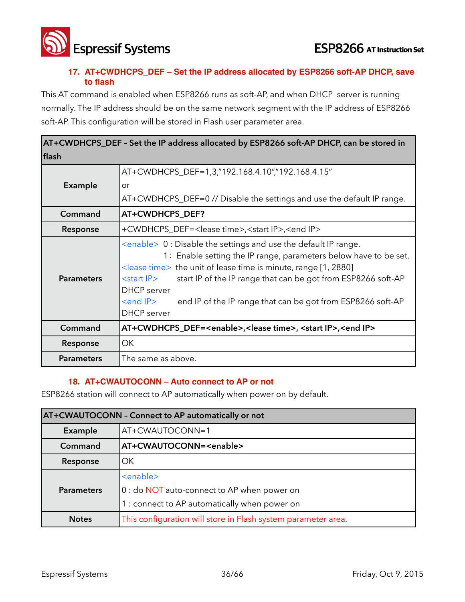

#### **17. AT+CWDHCPS\_DEF – Set the IP address allocated by ESP8266 soft-AP DHCP, save to flash**

This AT command is enabled when ESP8266 runs as soft-AP, and when DHCP server is running normally. The IP address should be on the same network segment with the IP address of ESP8266 soft-AP. This configuration will be stored in Flash user parameter area.

| AT+CWDHCPS_DEF - Set the IP address allocated by ESP8266 soft-AP DHCP, can be stored in |                                                                                                                                                                                                                                                                                                                                                                                                                                                   |
|-----------------------------------------------------------------------------------------|---------------------------------------------------------------------------------------------------------------------------------------------------------------------------------------------------------------------------------------------------------------------------------------------------------------------------------------------------------------------------------------------------------------------------------------------------|
| flash                                                                                   |                                                                                                                                                                                                                                                                                                                                                                                                                                                   |
|                                                                                         | AT+CWDHCPS_DEF=1,3,"192.168.4.10","192.168.4.15"                                                                                                                                                                                                                                                                                                                                                                                                  |
| <b>Example</b>                                                                          | or                                                                                                                                                                                                                                                                                                                                                                                                                                                |
|                                                                                         | AT+CWDHCPS_DEF=0 // Disable the settings and use the default IP range.                                                                                                                                                                                                                                                                                                                                                                            |
| Command                                                                                 | AT+CWDHCPS_DEF?                                                                                                                                                                                                                                                                                                                                                                                                                                   |
| Response                                                                                | +CWDHCPS_DEF= <lease time="">,<start ip="">,<end ip=""></end></start></lease>                                                                                                                                                                                                                                                                                                                                                                     |
| <b>Parameters</b>                                                                       | $\leq$ enable $> 0$ : Disable the settings and use the default IP range.<br>1: Enable setting the IP range, parameters below have to be set.<br>$\le$ lease time> the unit of lease time is minute, range [1, 2880]<br>start IP of the IP range that can be got from ESP8266 soft-AP<br><start ip=""><br/><b>DHCP</b> server<br/><end ip=""><br/>end IP of the IP range that can be got from ESP8266 soft-AP<br/><b>DHCP</b> server</end></start> |
| Command                                                                                 | AT+CWDHCPS_DEF= <enable>,<lease time="">, <start ip="">,<end ip=""></end></start></lease></enable>                                                                                                                                                                                                                                                                                                                                                |
| Response                                                                                | OK                                                                                                                                                                                                                                                                                                                                                                                                                                                |
| <b>Parameters</b>                                                                       | The same as above.                                                                                                                                                                                                                                                                                                                                                                                                                                |

#### **18. AT+CWAUTOCONN – Auto connect to AP or not**

ESP8266 station will connect to AP automatically when power on by default.

| AT+CWAUTOCONN - Connect to AP automatically or not |                                                               |
|----------------------------------------------------|---------------------------------------------------------------|
| Example                                            | AT+CWAUTOCONN=1                                               |
| Command                                            | AT+CWAUTOCONN= <enable></enable>                              |
| Response                                           | OK.                                                           |
|                                                    | <enable></enable>                                             |
| <b>Parameters</b>                                  | 0 : do NOT auto-connect to AP when power on                   |
|                                                    | 1 : connect to AP automatically when power on                 |
| <b>Notes</b>                                       | This configuration will store in Flash system parameter area. |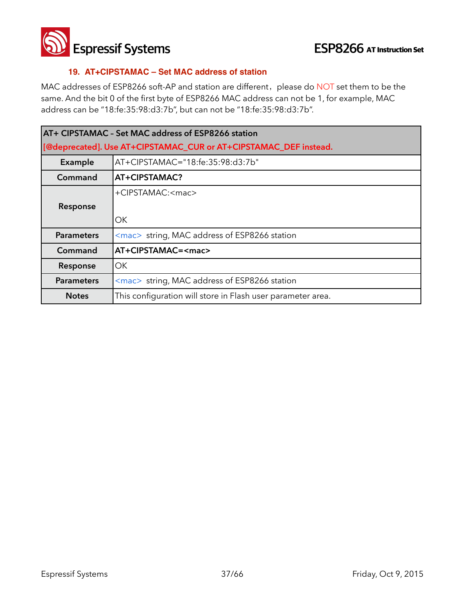

**Espressif Systems ESP8266** AT Instruction Set

#### **19. AT+CIPSTAMAC – Set MAC address of station**

MAC addresses of ESP8266 soft-AP and station are different, please do NOT set them to be the same. And the bit 0 of the first byte of ESP8266 MAC address can not be 1, for example, MAC address can be "18:fe:35:98:d3:7b", but can not be "18:fe:35:98:d3:7b".

| AT+ CIPSTAMAC - Set MAC address of ESP8266 station |                                                                  |  |
|----------------------------------------------------|------------------------------------------------------------------|--|
|                                                    | [@deprecated]. Use AT+CIPSTAMAC_CUR or AT+CIPSTAMAC_DEF instead. |  |
| Example                                            | AT+CIPSTAMAC="18:fe:35:98:d3:7b"                                 |  |
| Command                                            | AT+CIPSTAMAC?                                                    |  |
|                                                    | +CIPSTAMAC: <mac></mac>                                          |  |
| Response                                           |                                                                  |  |
|                                                    | OK.                                                              |  |
| <b>Parameters</b>                                  | <mac> string, MAC address of ESP8266 station</mac>               |  |
| Command                                            | AT+CIPSTAMAC= <mac></mac>                                        |  |
| Response                                           | OK.                                                              |  |
| <b>Parameters</b>                                  | <mac> string, MAC address of ESP8266 station</mac>               |  |
| <b>Notes</b>                                       | This configuration will store in Flash user parameter area.      |  |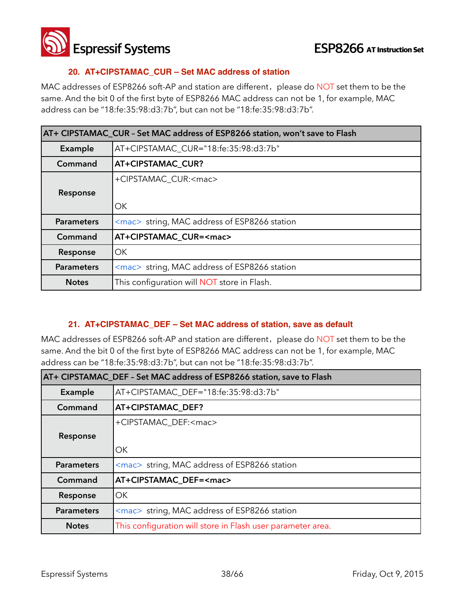

#### **20. AT+CIPSTAMAC\_CUR – Set MAC address of station**

MAC addresses of ESP8266 soft-AP and station are different, please do NOT set them to be the same. And the bit 0 of the first byte of ESP8266 MAC address can not be 1, for example, MAC address can be "18:fe:35:98:d3:7b", but can not be "18:fe:35:98:d3:7b".

| AT+ CIPSTAMAC_CUR - Set MAC address of ESP8266 station, won't save to Flash |                                                                |
|-----------------------------------------------------------------------------|----------------------------------------------------------------|
| Example                                                                     | AT+CIPSTAMAC_CUR="18:fe:35:98:d3:7b"                           |
| Command                                                                     | <b>AT+CIPSTAMAC CUR?</b>                                       |
|                                                                             | +CIPSTAMAC_CUR: <mac></mac>                                    |
| Response                                                                    |                                                                |
|                                                                             | OK.                                                            |
| <b>Parameters</b>                                                           | $\langle$ mac $\rangle$ string, MAC address of ESP8266 station |
| Command                                                                     | AT+CIPSTAMAC_CUR= <mac></mac>                                  |
| Response                                                                    | OK.                                                            |
| <b>Parameters</b>                                                           | <mac> string, MAC address of ESP8266 station</mac>             |
| <b>Notes</b>                                                                | This configuration will <b>NOT</b> store in Flash.             |

#### **21. AT+CIPSTAMAC\_DEF – Set MAC address of station, save as default**

MAC addresses of ESP8266 soft-AP and station are different, please do NOT set them to be the same. And the bit 0 of the first byte of ESP8266 MAC address can not be 1, for example, MAC address can be "18:fe:35:98:d3:7b", but can not be "18:fe:35:98:d3:7b".

| AT+ CIPSTAMAC_DEF - Set MAC address of ESP8266 station, save to Flash |                                                                |
|-----------------------------------------------------------------------|----------------------------------------------------------------|
| Example                                                               | AT+CIPSTAMAC_DEF="18:fe:35:98:d3:7b"                           |
| Command                                                               | AT+CIPSTAMAC_DEF?                                              |
|                                                                       | +CIPSTAMAC DEF: <mac></mac>                                    |
| Response                                                              |                                                                |
|                                                                       | OK.                                                            |
| <b>Parameters</b>                                                     | <mac> string, MAC address of ESP8266 station</mac>             |
| Command                                                               | AT+CIPSTAMAC DEF= <mac></mac>                                  |
| Response                                                              | OK.                                                            |
| <b>Parameters</b>                                                     | $\langle$ mac $\rangle$ string, MAC address of ESP8266 station |
| <b>Notes</b>                                                          | This configuration will store in Flash user parameter area.    |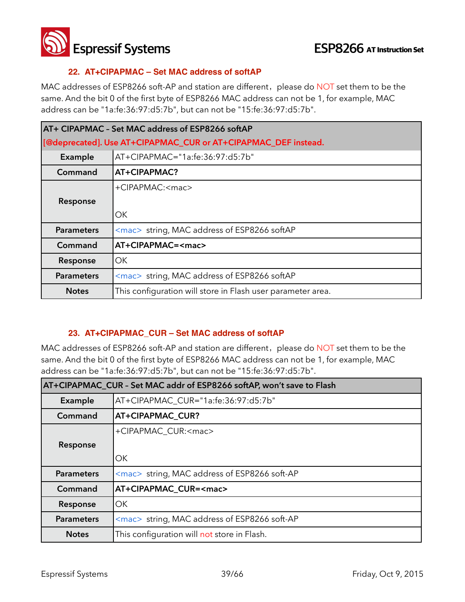

#### **22. AT+CIPAPMAC – Set MAC address of softAP**

MAC addresses of ESP8266 soft-AP and station are different, please do NOT set them to be the same. And the bit 0 of the first byte of ESP8266 MAC address can not be 1, for example, MAC address can be "1a:fe:36:97:d5:7b", but can not be "15:fe:36:97:d5:7b".

| AT+ CIPAPMAC - Set MAC address of ESP8266 softAP |                                                                |
|--------------------------------------------------|----------------------------------------------------------------|
|                                                  | [@deprecated]. Use AT+CIPAPMAC_CUR or AT+CIPAPMAC_DEF instead. |
| Example                                          | AT+CIPAPMAC="1a:fe:36:97:d5:7b"                                |
| Command                                          | AT+CIPAPMAC?                                                   |
|                                                  | +CIPAPMAC: <mac></mac>                                         |
| Response                                         |                                                                |
|                                                  | ОK                                                             |
| <b>Parameters</b>                                | <mac> string, MAC address of ESP8266 softAP</mac>              |
| Command                                          | AT+CIPAPMAC= <mac></mac>                                       |
| Response                                         | ОK                                                             |
| <b>Parameters</b>                                | <mac> string, MAC address of ESP8266 softAP</mac>              |
| <b>Notes</b>                                     | This configuration will store in Flash user parameter area.    |

#### **23. AT+CIPAPMAC\_CUR – Set MAC address of softAP**

MAC addresses of ESP8266 soft-AP and station are different, please do NOT set them to be the same. And the bit 0 of the first byte of ESP8266 MAC address can not be 1, for example, MAC address can be "1a:fe:36:97:d5:7b", but can not be "15:fe:36:97:d5:7b".

| AT+CIPAPMAC_CUR - Set MAC addr of ESP8266 softAP, won't save to Flash |                                                    |
|-----------------------------------------------------------------------|----------------------------------------------------|
| Example                                                               | AT+CIPAPMAC_CUR="1a:fe:36:97:d5:7b"                |
| Command                                                               | AT+CIPAPMAC_CUR?                                   |
|                                                                       | +CIPAPMAC_CUR: <mac></mac>                         |
| Response                                                              |                                                    |
|                                                                       | OK                                                 |
| <b>Parameters</b>                                                     | <mac> string, MAC address of ESP8266 soft-AP</mac> |
| Command                                                               | AT+CIPAPMAC CUR= <mac></mac>                       |
| Response                                                              | OK                                                 |
| <b>Parameters</b>                                                     | <mac> string, MAC address of ESP8266 soft-AP</mac> |
| <b>Notes</b>                                                          | This configuration will not store in Flash.        |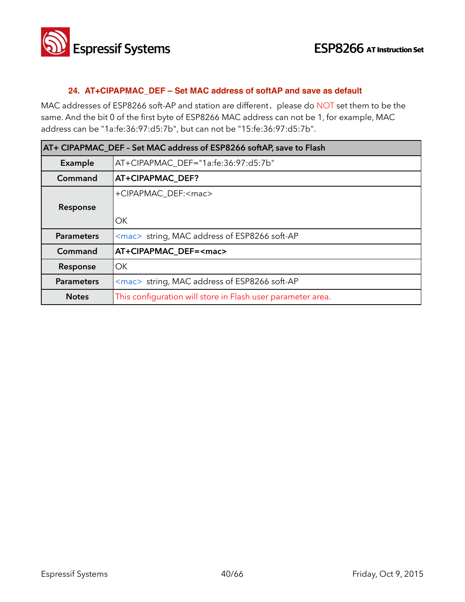

#### **24. AT+CIPAPMAC\_DEF – Set MAC address of softAP and save as default**

MAC addresses of ESP8266 soft-AP and station are different, please do NOT set them to be the same. And the bit 0 of the first byte of ESP8266 MAC address can not be 1, for example, MAC address can be "1a:fe:36:97:d5:7b", but can not be "15:fe:36:97:d5:7b".

| AT+ CIPAPMAC_DEF - Set MAC address of ESP8266 softAP, save to Flash |                                                             |
|---------------------------------------------------------------------|-------------------------------------------------------------|
| Example                                                             | AT+CIPAPMAC_DEF="1a:fe:36:97:d5:7b"                         |
| Command                                                             | <b>AT+CIPAPMAC DEF?</b>                                     |
|                                                                     | +CIPAPMAC DEF: <mac></mac>                                  |
| Response                                                            |                                                             |
|                                                                     | OK                                                          |
| <b>Parameters</b>                                                   | <mac> string, MAC address of ESP8266 soft-AP</mac>          |
| Command                                                             | AT+CIPAPMAC DEF= <mac></mac>                                |
| Response                                                            | OK                                                          |
| <b>Parameters</b>                                                   | <mac> string, MAC address of ESP8266 soft-AP</mac>          |
| <b>Notes</b>                                                        | This configuration will store in Flash user parameter area. |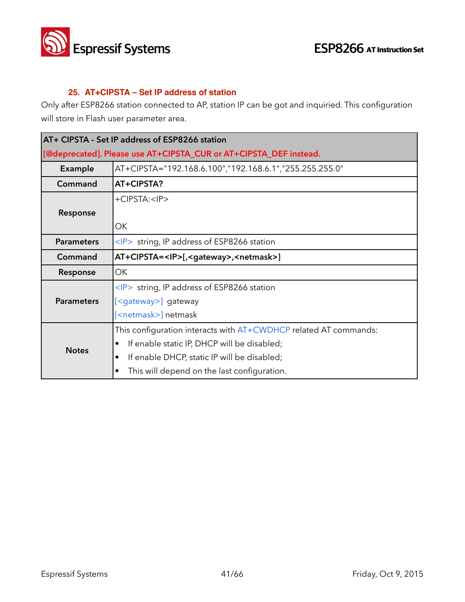

#### **25. AT+CIPSTA – Set IP address of station**

Only after ESP8266 station connected to AP, station IP can be got and inquiried. This configuration will store in Flash user parameter area.

| AT+ CIPSTA - Set IP address of ESP8266 station |                                                                   |  |
|------------------------------------------------|-------------------------------------------------------------------|--|
|                                                | [@deprecated]. Please use AT+CIPSTA_CUR or AT+CIPSTA_DEF instead. |  |
| Example                                        | AT+CIPSTA="192.168.6.100","192.168.6.1","255.255.255.0"           |  |
| Command                                        | AT+CIPSTA?                                                        |  |
|                                                | +CIPSTA: <ip></ip>                                                |  |
| Response                                       |                                                                   |  |
|                                                | ОК                                                                |  |
| <b>Parameters</b>                              | $\langle P \rangle$ string, IP address of ESP8266 station         |  |
| Command                                        | AT+CIPSTA= <ip>[,<gateway>,<netmask>]</netmask></gateway></ip>    |  |
| Response                                       | OK                                                                |  |
|                                                | <ip> string, IP address of ESP8266 station</ip>                   |  |
| <b>Parameters</b>                              | [ <gateway>] gateway</gateway>                                    |  |
|                                                | [ <netmask>] netmask</netmask>                                    |  |
|                                                | This configuration interacts with AT+CWDHCP related AT commands:  |  |
| <b>Notes</b>                                   | If enable static IP, DHCP will be disabled;<br>٠                  |  |
|                                                | If enable DHCP, static IP will be disabled;<br>٠                  |  |
|                                                | This will depend on the last configuration.<br>٠                  |  |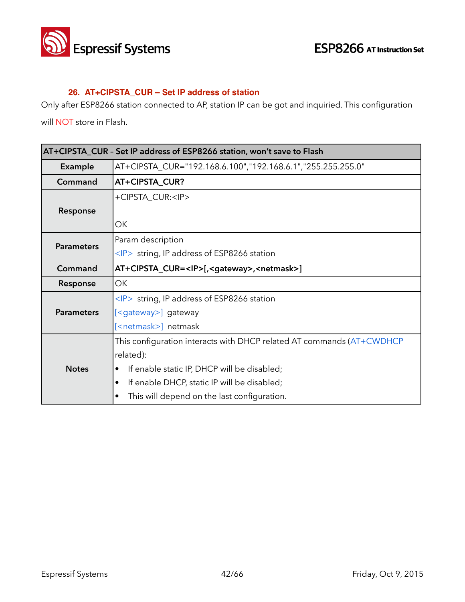

#### **26. AT+CIPSTA\_CUR – Set IP address of station**

Only after ESP8266 station connected to AP, station IP can be got and inquiried. This configuration

will NOT store in Flash.

| AT+CIPSTA_CUR - Set IP address of ESP8266 station, won't save to Flash |                                                                       |
|------------------------------------------------------------------------|-----------------------------------------------------------------------|
| <b>Example</b>                                                         | AT+CIPSTA_CUR="192.168.6.100","192.168.6.1","255.255.255.0"           |
| Command                                                                | AT+CIPSTA_CUR?                                                        |
|                                                                        | +CIPSTA_CUR: <ip></ip>                                                |
| Response                                                               |                                                                       |
|                                                                        | ОK                                                                    |
| <b>Parameters</b>                                                      | Param description                                                     |
|                                                                        | <ip> string, IP address of ESP8266 station</ip>                       |
| Command                                                                | AT+CIPSTA_CUR= <ip>[,<gateway>,<netmask>]</netmask></gateway></ip>    |
| Response                                                               | ОK                                                                    |
|                                                                        | $\langle P \rangle$ string, IP address of ESP8266 station             |
| <b>Parameters</b>                                                      | [ <gateway>] gateway</gateway>                                        |
|                                                                        | [ <netmask>] netmask</netmask>                                        |
|                                                                        | This configuration interacts with DHCP related AT commands (AT+CWDHCP |
|                                                                        | related):                                                             |
| <b>Notes</b>                                                           | If enable static IP, DHCP will be disabled;                           |
|                                                                        | If enable DHCP, static IP will be disabled;<br>$\bullet$              |
|                                                                        | This will depend on the last configuration.<br>٠                      |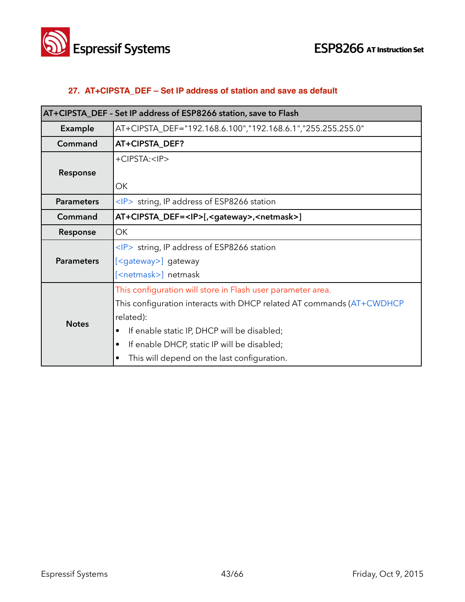

#### **27. AT+CIPSTA\_DEF – Set IP address of station and save as default**

| AT+CIPSTA_DEF - Set IP address of ESP8266 station, save to Flash |                                                                       |
|------------------------------------------------------------------|-----------------------------------------------------------------------|
| Example                                                          | AT+CIPSTA_DEF="192.168.6.100","192.168.6.1","255.255.255.0"           |
| Command                                                          | AT+CIPSTA_DEF?                                                        |
|                                                                  | +CIPSTA: <ip></ip>                                                    |
| Response                                                         |                                                                       |
|                                                                  | ОK                                                                    |
| <b>Parameters</b>                                                | $\langle P \rangle$ string, IP address of ESP8266 station             |
| Command                                                          | AT+CIPSTA_DEF= <ip>[,<gateway>,<netmask>]</netmask></gateway></ip>    |
| Response                                                         | ОK                                                                    |
|                                                                  | $\langle P \rangle$ string, IP address of ESP8266 station             |
| <b>Parameters</b>                                                | [ <gateway>] gateway</gateway>                                        |
|                                                                  | [ <netmask>] netmask</netmask>                                        |
|                                                                  | This configuration will store in Flash user parameter area.           |
|                                                                  | This configuration interacts with DHCP related AT commands (AT+CWDHCP |
| <b>Notes</b>                                                     | related):                                                             |
|                                                                  | If enable static IP, DHCP will be disabled;                           |
|                                                                  | If enable DHCP, static IP will be disabled;                           |
|                                                                  | This will depend on the last configuration.                           |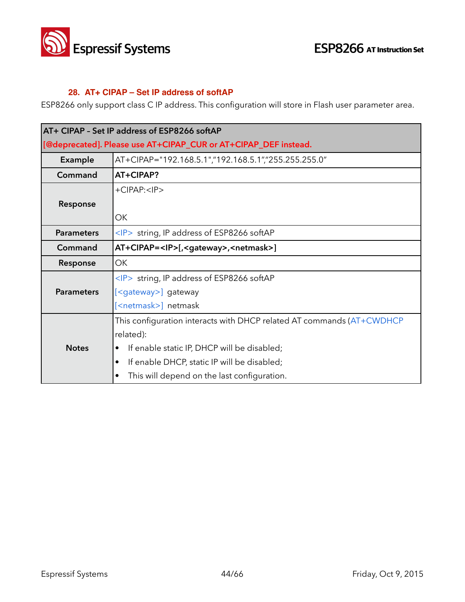

#### **28. AT+ CIPAP – Set IP address of softAP**

ESP8266 only support class C IP address. This configuration will store in Flash user parameter area.

| AT+ CIPAP - Set IP address of ESP8266 softAP |                                                                       |
|----------------------------------------------|-----------------------------------------------------------------------|
|                                              | [@deprecated]. Please use AT+CIPAP_CUR or AT+CIPAP_DEF instead.       |
| <b>Example</b>                               | AT+CIPAP="192.168.5.1","192.168.5.1","255.255.255.0"                  |
| Command                                      | AT+CIPAP?                                                             |
|                                              | $+CIPAP: $                                                            |
| Response                                     |                                                                       |
|                                              | OK                                                                    |
| <b>Parameters</b>                            | <ip> string, IP address of ESP8266 softAP</ip>                        |
| Command                                      | AT+CIPAP= <ip>[,<gateway>,<netmask>]</netmask></gateway></ip>         |
| Response                                     | <b>OK</b>                                                             |
|                                              | <ip> string, IP address of ESP8266 softAP</ip>                        |
| <b>Parameters</b>                            | [ <gateway>] gateway</gateway>                                        |
|                                              | [ <netmask>] netmask</netmask>                                        |
|                                              | This configuration interacts with DHCP related AT commands (AT+CWDHCP |
|                                              | related):                                                             |
| <b>Notes</b>                                 | If enable static IP, DHCP will be disabled;                           |
|                                              | If enable DHCP, static IP will be disabled;                           |
|                                              | This will depend on the last configuration.                           |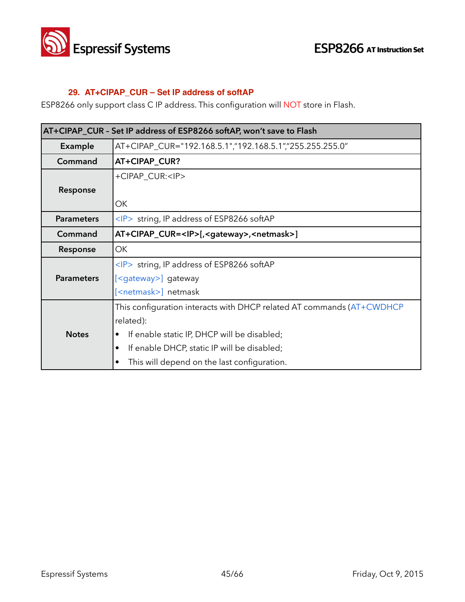

#### **29. AT+CIPAP\_CUR – Set IP address of softAP**

ESP8266 only support class C IP address. This configuration will NOT store in Flash.

| AT+CIPAP_CUR - Set IP address of ESP8266 softAP, won't save to Flash |                                                                       |
|----------------------------------------------------------------------|-----------------------------------------------------------------------|
| Example                                                              | AT+CIPAP_CUR="192.168.5.1","192.168.5.1","255.255.255.0"              |
| Command                                                              | AT+CIPAP_CUR?                                                         |
|                                                                      | +CIPAP_CUR: <ip></ip>                                                 |
| Response                                                             |                                                                       |
|                                                                      | ОΚ                                                                    |
| <b>Parameters</b>                                                    | $\langle P \rangle$ string, IP address of ESP8266 softAP              |
| Command                                                              | AT+CIPAP_CUR= <ip>[,<gateway>,<netmask>]</netmask></gateway></ip>     |
| Response                                                             | OK                                                                    |
|                                                                      | $\langle P \rangle$ string, IP address of ESP8266 softAP              |
| <b>Parameters</b>                                                    | [ <gateway>] gateway</gateway>                                        |
|                                                                      | [ <netmask>] netmask</netmask>                                        |
|                                                                      | This configuration interacts with DHCP related AT commands (AT+CWDHCP |
|                                                                      | related):                                                             |
| <b>Notes</b>                                                         | If enable static IP, DHCP will be disabled;                           |
|                                                                      | If enable DHCP, static IP will be disabled;                           |
|                                                                      | This will depend on the last configuration.                           |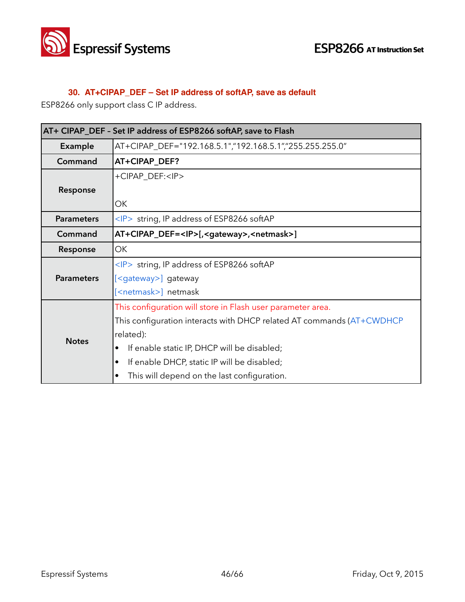

#### **30. AT+CIPAP\_DEF – Set IP address of softAP, save as default**

ESP8266 only support class C IP address.

| AT+ CIPAP_DEF - Set IP address of ESP8266 softAP, save to Flash |                                                                       |
|-----------------------------------------------------------------|-----------------------------------------------------------------------|
| Example                                                         | AT+CIPAP_DEF="192.168.5.1","192.168.5.1","255.255.255.0"              |
| Command                                                         | AT+CIPAP_DEF?                                                         |
|                                                                 | +CIPAP_DEF: <ip></ip>                                                 |
| Response                                                        |                                                                       |
|                                                                 | OK                                                                    |
| <b>Parameters</b>                                               | $\langle P \rangle$ string, IP address of ESP8266 softAP              |
| Command                                                         | AT+CIPAP_DEF= <ip>[,<gateway>,<netmask>]</netmask></gateway></ip>     |
| Response                                                        | OK                                                                    |
|                                                                 | $\langle P \rangle$ string, IP address of ESP8266 softAP              |
| <b>Parameters</b>                                               | [ <gateway>] gateway</gateway>                                        |
|                                                                 | [ <netmask>] netmask</netmask>                                        |
|                                                                 | This configuration will store in Flash user parameter area.           |
| <b>Notes</b>                                                    | This configuration interacts with DHCP related AT commands (AT+CWDHCP |
|                                                                 | related):                                                             |
|                                                                 | If enable static IP, DHCP will be disabled;                           |
|                                                                 | If enable DHCP, static IP will be disabled;<br>٠                      |
|                                                                 | This will depend on the last configuration.                           |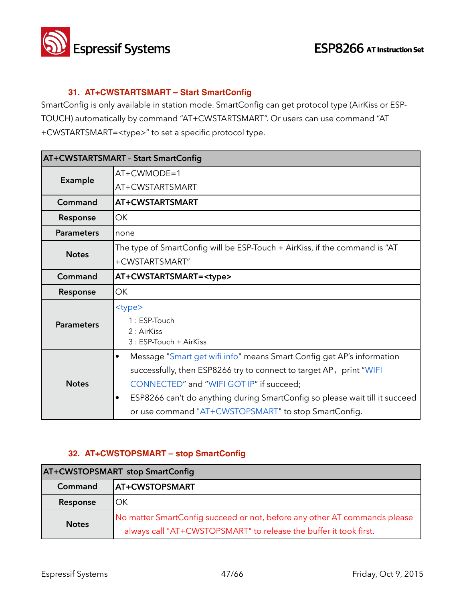

#### **31. AT+CWSTARTSMART – Start SmartConfig**

SmartConfig is only available in station mode. SmartConfig can get protocol type (AirKiss or ESP-TOUCH) automatically by command "AT+CWSTARTSMART". Or users can use command "AT +CWSTARTSMART=<type>" to set a specific protocol type.

|                   | <b>AT+CWSTARTSMART - Start SmartConfig</b>                                               |  |
|-------------------|------------------------------------------------------------------------------------------|--|
| Example           | $AT+CWMODE=1$                                                                            |  |
|                   | AT+CWSTARTSMART                                                                          |  |
| Command           | AT+CWSTARTSMART                                                                          |  |
| Response          | <b>OK</b>                                                                                |  |
| <b>Parameters</b> | none                                                                                     |  |
| <b>Notes</b>      | The type of SmartConfig will be ESP-Touch + AirKiss, if the command is "AT               |  |
|                   | +CWSTARTSMART"                                                                           |  |
| Command           | AT+CWSTARTSMART= <type></type>                                                           |  |
| Response          | <b>OK</b>                                                                                |  |
|                   | <type></type>                                                                            |  |
| <b>Parameters</b> | $1:ESP-Touch$                                                                            |  |
|                   | $2:$ AirKiss<br>3 : ESP-Touch + AirKiss                                                  |  |
|                   | Message "Smart get wifi info" means Smart Config get AP's information<br>$\bullet$       |  |
|                   | successfully, then ESP8266 try to connect to target AP, print "WIFI                      |  |
| <b>Notes</b>      | CONNECTED" and "WIFI GOT IP" if succeed;                                                 |  |
|                   | ESP8266 can't do anything during SmartConfig so please wait till it succeed<br>$\bullet$ |  |
|                   | or use command "AT+CWSTOPSMART" to stop SmartConfig.                                     |  |

#### **32. AT+CWSTOPSMART – stop SmartConfig**

| <b>AT+CWSTOPSMART stop SmartConfig</b> |                                                                                                                                                |
|----------------------------------------|------------------------------------------------------------------------------------------------------------------------------------------------|
| Command                                | <b>AT+CWSTOPSMART</b>                                                                                                                          |
| Response                               | OK                                                                                                                                             |
| <b>Notes</b>                           | No matter SmartConfig succeed or not, before any other AT commands please<br>always call "AT+CWSTOPSMART" to release the buffer it took first. |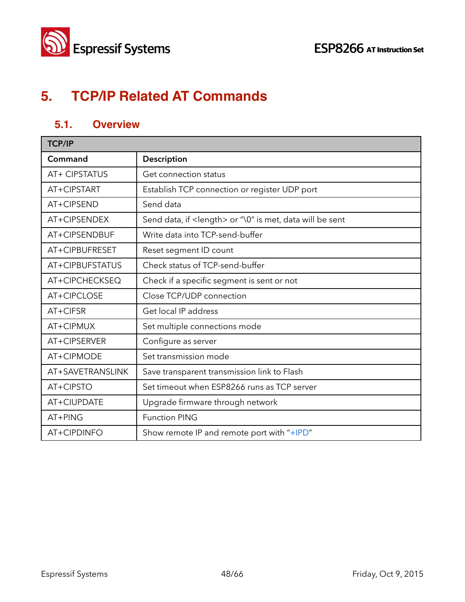

## **5. TCP/IP Related AT Commands**

## **5.1. Overview**

| <b>TCP/IP</b>    |                                                                   |
|------------------|-------------------------------------------------------------------|
| Command          | Description                                                       |
| AT+ CIPSTATUS    | Get connection status                                             |
| AT+CIPSTART      | Establish TCP connection or register UDP port                     |
| AT+CIPSEND       | Send data                                                         |
| AT+CIPSENDEX     | Send data, if <length> or "\0" is met, data will be sent</length> |
| AT+CIPSENDBUF    | Write data into TCP-send-buffer                                   |
| AT+CIPBUFRESET   | Reset segment ID count                                            |
| AT+CIPBUFSTATUS  | Check status of TCP-send-buffer                                   |
| AT+CIPCHECKSEQ   | Check if a specific segment is sent or not                        |
| AT+CIPCLOSE      | Close TCP/UDP connection                                          |
| AT+CIFSR         | Get local IP address                                              |
| AT+CIPMUX        | Set multiple connections mode                                     |
| AT+CIPSERVER     | Configure as server                                               |
| AT+CIPMODE       | Set transmission mode                                             |
| AT+SAVETRANSLINK | Save transparent transmission link to Flash                       |
| AT+CIPSTO        | Set timeout when ESP8266 runs as TCP server                       |
| AT+CIUPDATE      | Upgrade firmware through network                                  |
| AT+PING          | <b>Function PING</b>                                              |
| AT+CIPDINFO      | Show remote IP and remote port with "+IPD"                        |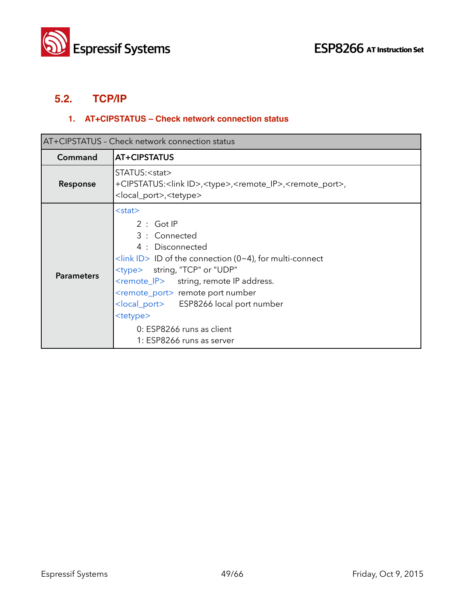



## **5.2. TCP/IP**

#### **1. AT+CIPSTATUS – Check network connection status**

| AT+CIPSTATUS - Check network connection status |                                                                                                                                                                                                                                                                                                                                                                                                                               |
|------------------------------------------------|-------------------------------------------------------------------------------------------------------------------------------------------------------------------------------------------------------------------------------------------------------------------------------------------------------------------------------------------------------------------------------------------------------------------------------|
| Command                                        | AT+CIPSTATUS                                                                                                                                                                                                                                                                                                                                                                                                                  |
| Response                                       | STATUS: <stat><br/>+CIPSTATUS:<link id=""/>,<type>,<remote_ip>,<remote_port>,<br/><local_port>,<tetype></tetype></local_port></remote_port></remote_ip></type></stat>                                                                                                                                                                                                                                                         |
| <b>Parameters</b>                              | $<$ stat $>$<br>2: GotIP<br>3 : Connected<br>4 : Disconnected<br>$\frac{1}{\sin k}$ ID of the connection (0~4), for multi-connect<br><type> string, "TCP" or "UDP"<br/><remote_ip> string, remote IP address.<br/><remote_port> remote port number<br/><local_port> ESP8266 local port number<br/><tetype><br/>0: ESP8266 runs as client<br/>1: ESP8266 runs as server</tetype></local_port></remote_port></remote_ip></type> |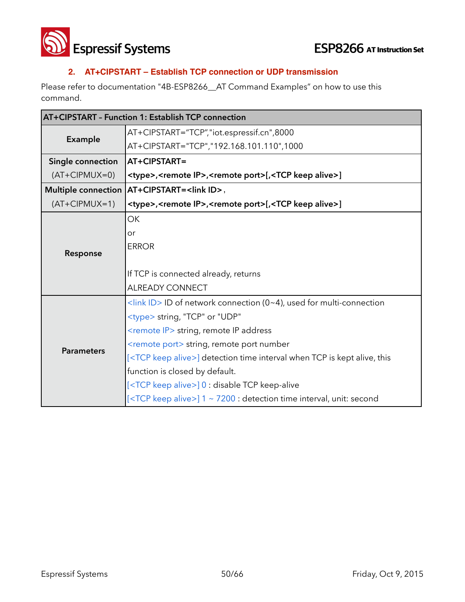

**ESP8266** AT Instruction Set

#### **2. AT+CIPSTART – Establish TCP connection or UDP transmission**

Please refer to documentation "4B-ESP8266\_\_AT Command Examples" on how to use this command.

|                            | AT+CIPSTART - Function 1: Establish TCP connection                                             |  |
|----------------------------|------------------------------------------------------------------------------------------------|--|
| Example                    | AT+CIPSTART="TCP","iot.espressif.cn",8000                                                      |  |
|                            | AT+CIPSTART="TCP","192.168.101.110",1000                                                       |  |
| Single connection          | AT+CIPSTART=                                                                                   |  |
| $(AT+CIPMUX=0)$            | <type>,<remote ip="">,<remote port="">[,<tcp alive="" keep="">]</tcp></remote></remote></type> |  |
| <b>Multiple connection</b> | AT+CIPSTART= <link id=""/> ,                                                                   |  |
| $(AT+CIPMUX=1)$            | <type>,<remote ip="">,<remote port="">[,<tcp alive="" keep="">]</tcp></remote></remote></type> |  |
|                            | OK                                                                                             |  |
|                            | or                                                                                             |  |
|                            | <b>ERROR</b>                                                                                   |  |
| Response                   |                                                                                                |  |
|                            | If TCP is connected already, returns                                                           |  |
|                            | <b>ALREADY CONNECT</b>                                                                         |  |
|                            | <link id=""/> ID of network connection (0~4), used for multi-connection                        |  |
|                            | <type> string, "TCP" or "UDP"</type>                                                           |  |
|                            | <remote ip=""> string, remote IP address</remote>                                              |  |
| <b>Parameters</b>          | <remote port=""> string, remote port number</remote>                                           |  |
|                            | [ <tcp alive="" keep="">] detection time interval when TCP is kept alive, this</tcp>           |  |
|                            | function is closed by default.                                                                 |  |
|                            | [ <tcp alive="" keep="">] 0 : disable TCP keep-alive</tcp>                                     |  |
|                            | [ <tcp alive="" keep="">] 1 ~ 7200 : detection time interval, unit: second</tcp>               |  |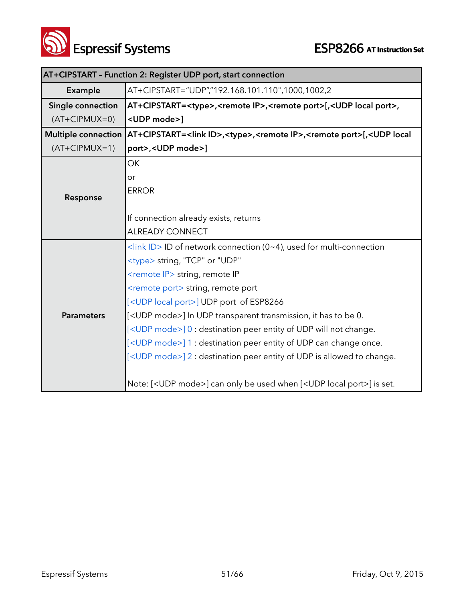

|                            | AT+CIPSTART - Function 2: Register UDP port, start connection                                                             |  |
|----------------------------|---------------------------------------------------------------------------------------------------------------------------|--|
| Example                    | AT+CIPSTART="UDP","192.168.101.110",1000,1002,2                                                                           |  |
| Single connection          | AT+CIPSTART= <type>,<remote ip="">,<remote port="">[,<udp local="" port="">,</udp></remote></remote></type>               |  |
| $(AT+CIPMUX=0)$            | <udp mode="">1</udp>                                                                                                      |  |
| <b>Multiple connection</b> | AT+CIPSTART= <link id=""/> , <type>,<remote ip="">,<remote port="">[,<udp local<="" th=""></udp></remote></remote></type> |  |
| $(AT+CIPMUX=1)$            | port>, <udp mode="">]</udp>                                                                                               |  |
|                            | OK                                                                                                                        |  |
|                            | or                                                                                                                        |  |
| Response                   | <b>ERROR</b>                                                                                                              |  |
|                            |                                                                                                                           |  |
|                            | If connection already exists, returns                                                                                     |  |
|                            | <b>ALREADY CONNECT</b>                                                                                                    |  |
|                            | <link id=""/> ID of network connection (0~4), used for multi-connection                                                   |  |
|                            | <type> string, "TCP" or "UDP"</type>                                                                                      |  |
|                            | <remote ip=""> string, remote IP</remote>                                                                                 |  |
|                            | <remote port=""> string, remote port</remote>                                                                             |  |
|                            | [ <udp local="" port="">] UDP port of ESP8266</udp>                                                                       |  |
| <b>Parameters</b>          | [ <udp mode="">] In UDP transparent transmission, it has to be 0.</udp>                                                   |  |
|                            | [ <udp mode="">] 0 : destination peer entity of UDP will not change.</udp>                                                |  |
|                            | [ <udp mode="">] 1 : destination peer entity of UDP can change once.</udp>                                                |  |
|                            | [ <udp mode="">] 2 : destination peer entity of UDP is allowed to change.</udp>                                           |  |
|                            |                                                                                                                           |  |
|                            | Note: [ <udp mode="">] can only be used when [<udp local="" port="">] is set.</udp></udp>                                 |  |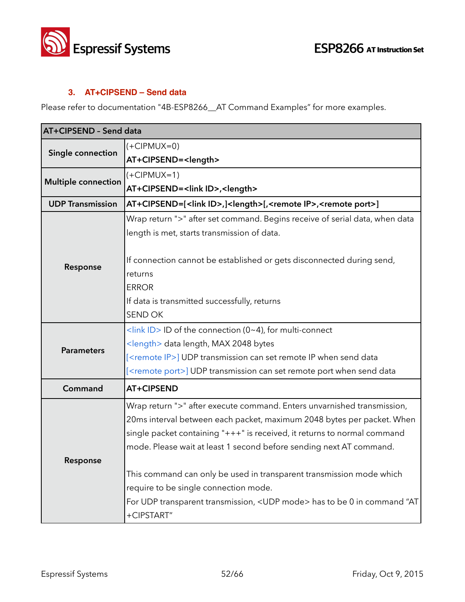

#### **3. AT+CIPSEND – Send data**

Please refer to documentation "4B-ESP8266\_AT Command Examples" for more examples.

| AT+CIPSEND - Send data     |                                                                                                     |
|----------------------------|-----------------------------------------------------------------------------------------------------|
| Single connection          | $(+CIPMUX=0)$                                                                                       |
|                            | AT+CIPSEND= <length></length>                                                                       |
| <b>Multiple connection</b> | $(+CIPMUX=1)$                                                                                       |
|                            | AT+CIPSEND= <link id=""/> , <length></length>                                                       |
| <b>UDP Transmission</b>    | AT+CIPSEND=[ <link id=""/> ,] <length>[,<remote ip="">,<remote port="">]</remote></remote></length> |
|                            | Wrap return ">" after set command. Begins receive of serial data, when data                         |
|                            | length is met, starts transmission of data.                                                         |
|                            |                                                                                                     |
| Response                   | If connection cannot be established or gets disconnected during send,                               |
|                            | returns                                                                                             |
|                            | <b>ERROR</b>                                                                                        |
|                            | If data is transmitted successfully, returns                                                        |
|                            | <b>SEND OK</b>                                                                                      |
|                            | $\frac{1}{\sin k}$ ID > ID of the connection (0~4), for multi-connect                               |
| <b>Parameters</b>          | <length> data length, MAX 2048 bytes</length>                                                       |
|                            | [ <remote ip="">] UDP transmission can set remote IP when send data</remote>                        |
|                            | [ <remote port="">] UDP transmission can set remote port when send data</remote>                    |
| Command                    | <b>AT+CIPSEND</b>                                                                                   |
|                            | Wrap return ">" after execute command. Enters unvarnished transmission,                             |
|                            | 20ms interval between each packet, maximum 2048 bytes per packet. When                              |
|                            | single packet containing "+++" is received, it returns to normal command                            |
|                            | mode. Please wait at least 1 second before sending next AT command.                                 |
| Response                   |                                                                                                     |
|                            | This command can only be used in transparent transmission mode which                                |
|                            | require to be single connection mode.                                                               |
|                            | For UDP transparent transmission, <udp mode=""> has to be 0 in command "AT</udp>                    |
|                            | +CIPSTART"                                                                                          |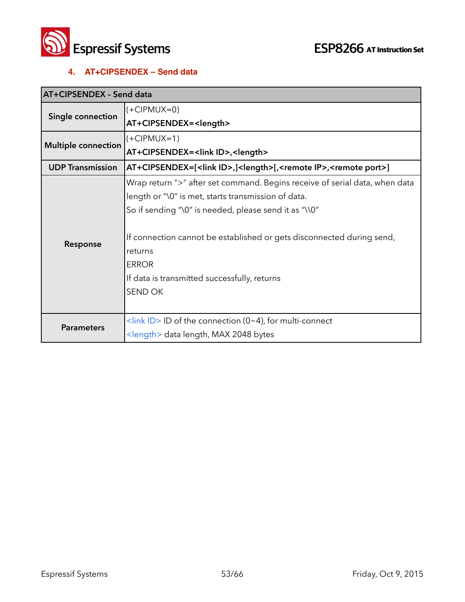

#### **4. AT+CIPSENDEX – Send data**

| AT+CIPSENDEX - Send data   |                                                                                                       |
|----------------------------|-------------------------------------------------------------------------------------------------------|
| Single connection          | $(+CIPMUX=0)$                                                                                         |
|                            | AT+CIPSENDEX= <length></length>                                                                       |
| <b>Multiple connection</b> | $(+CIPMUX=1)$                                                                                         |
|                            | AT+CIPSENDEX= <link id=""/> , <length></length>                                                       |
| <b>UDP Transmission</b>    | AT+CIPSENDEX=[ <link id=""/> ,] <length>[,<remote ip="">,<remote port="">]</remote></remote></length> |
|                            | Wrap return ">" after set command. Begins receive of serial data, when data                           |
|                            | length or "\0" is met, starts transmission of data.                                                   |
|                            | So if sending "\0" is needed, please send it as "\\0"                                                 |
|                            |                                                                                                       |
| Response                   | If connection cannot be established or gets disconnected during send,                                 |
|                            | returns                                                                                               |
|                            | <b>ERROR</b>                                                                                          |
|                            | If data is transmitted successfully, returns                                                          |
|                            | <b>SEND OK</b>                                                                                        |
|                            |                                                                                                       |
| <b>Parameters</b>          | <link id=""/> ID of the connection (0~4), for multi-connect                                           |
|                            | <length> data length, MAX 2048 bytes</length>                                                         |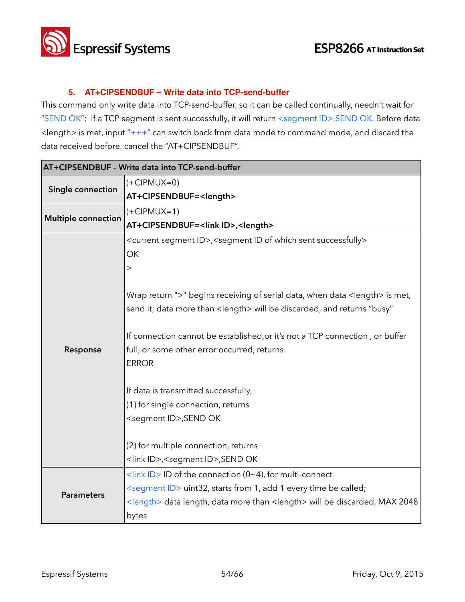

#### **5. AT+CIPSENDBUF – Write data into TCP-send-buffer**

This command only write data into TCP-send-buffer, so it can be called continually, needn't wait for "SEND OK"; if a TCP segment is sent successfully, it will return <segment ID>,SEND OK. Before data <length> is met, input "+++" can switch back from data mode to command mode, and discard the data received before, cancel the "AT+CIPSENDBUF".

| AT+CIPSENDBUF - Write data into TCP-send-buffer |                                                                                                       |
|-------------------------------------------------|-------------------------------------------------------------------------------------------------------|
| Single connection                               | $(+CIPMUX=0)$                                                                                         |
|                                                 | AT+CIPSENDBUF= <length></length>                                                                      |
|                                                 | $(+CIPMUX=1)$                                                                                         |
| <b>Multiple connection</b>                      | AT+CIPSENDBUF= <link id=""/> , <length></length>                                                      |
|                                                 | <current id="" segment="">,<segment id="" of="" sent="" successfully="" which=""></segment></current> |
|                                                 | OK                                                                                                    |
|                                                 | $\gt$                                                                                                 |
|                                                 |                                                                                                       |
|                                                 | Wrap return ">" begins receiving of serial data, when data <length> is met,</length>                  |
|                                                 | send it; data more than <length> will be discarded, and returns "busy"</length>                       |
|                                                 |                                                                                                       |
|                                                 | If connection cannot be established, or it's not a TCP connection, or buffer                          |
| Response                                        | full, or some other error occurred, returns                                                           |
|                                                 | <b>ERROR</b>                                                                                          |
|                                                 |                                                                                                       |
|                                                 | If data is transmitted successfully,                                                                  |
|                                                 | (1) for single connection, returns                                                                    |
|                                                 | <segment id="">, SEND OK</segment>                                                                    |
|                                                 |                                                                                                       |
|                                                 | (2) for multiple connection, returns                                                                  |
|                                                 | <link id=""/> , <segment id="">,SEND OK</segment>                                                     |
|                                                 | <link id=""/> ID of the connection (0~4), for multi-connect                                           |
| <b>Parameters</b>                               | <segment id=""> uint32, starts from 1, add 1 every time be called;</segment>                          |
|                                                 | <length> data length, data more than <length> will be discarded, MAX 2048</length></length>           |
|                                                 | bytes                                                                                                 |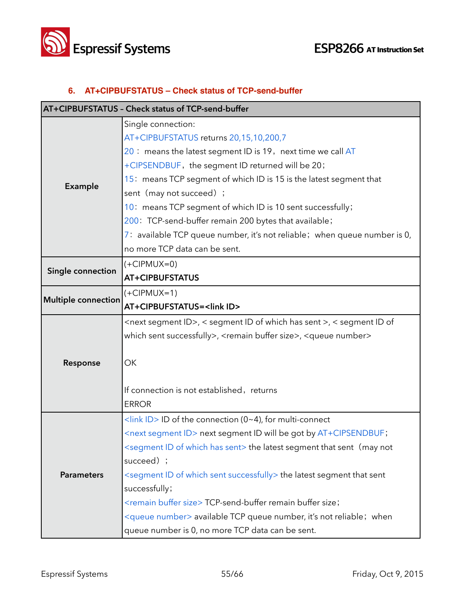

#### **6. AT+CIPBUFSTATUS – Check status of TCP-send-buffer**

|                            | AT+CIPBUFSTATUS - Check status of TCP-send-buffer                                             |
|----------------------------|-----------------------------------------------------------------------------------------------|
|                            | Single connection:                                                                            |
|                            | AT+CIPBUFSTATUS returns 20,15,10,200,7                                                        |
|                            | 20 : means the latest segment ID is 19, next time we call AT                                  |
|                            | +CIPSENDBUF, the segment ID returned will be 20;                                              |
|                            | 15: means TCP segment of which ID is 15 is the latest segment that                            |
| <b>Example</b>             | sent (may not succeed) ;                                                                      |
|                            | 10: means TCP segment of which ID is 10 sent successfully;                                    |
|                            | 200: TCP-send-buffer remain 200 bytes that available;                                         |
|                            | 7: available TCP queue number, it's not reliable; when queue number is 0,                     |
|                            | no more TCP data can be sent.                                                                 |
|                            | $(+CIPMUX=0)$                                                                                 |
| Single connection          | <b>AT+CIPBUFSTATUS</b>                                                                        |
|                            | $(+CIPMUX=1)$                                                                                 |
| <b>Multiple connection</b> | AT+CIPBUFSTATUS= <link id=""/>                                                                |
|                            | <next id="" segment="">, &lt; segment ID of which has sent &gt;, &lt; segment ID of</next>    |
|                            | which sent successfully>, <remain buffer="" size="">, <queue number=""></queue></remain>      |
|                            |                                                                                               |
| Response                   | OK                                                                                            |
|                            |                                                                                               |
|                            | If connection is not established, returns                                                     |
|                            | <b>ERROR</b>                                                                                  |
|                            | <link id=""/> ID of the connection (0~4), for multi-connect                                   |
|                            | <next id="" segment=""> next segment ID will be got by AT+CIPSENDBUF;</next>                  |
|                            | <segment has="" id="" of="" sent="" which=""> the latest segment that sent (may not</segment> |
|                            | succeed) ;                                                                                    |
| <b>Parameters</b>          | <segment id="" of="" sent="" successfully="" which=""> the latest segment that sent</segment> |
|                            | successfully;                                                                                 |
|                            | <remain buffer="" size=""> TCP-send-buffer remain buffer size;</remain>                       |
|                            | <queue number=""> available TCP queue number, it's not reliable; when</queue>                 |
|                            | queue number is 0, no more TCP data can be sent.                                              |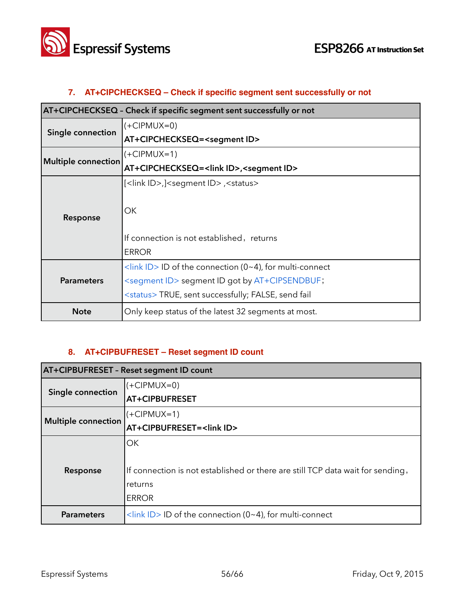

## **7. AT+CIPCHECKSEQ – Check if specific segment sent successfully or not**

| AT+CIPCHECKSEQ - Check if specific segment sent successfully or not |                                                                       |
|---------------------------------------------------------------------|-----------------------------------------------------------------------|
| Single connection                                                   | $(+CIPMUX=0)$                                                         |
|                                                                     | AT+CIPCHECKSEQ= <segment id=""></segment>                             |
|                                                                     | (+CIPMUX=1)                                                           |
| Multiple connection                                                 | AT+CIPCHECKSEQ= <link id=""/> , <segment id=""></segment>             |
|                                                                     | [ <link id=""/> ,] <segment id="">,<status></status></segment>        |
|                                                                     |                                                                       |
| Response                                                            | ОK                                                                    |
|                                                                     |                                                                       |
|                                                                     | If connection is not established, returns                             |
|                                                                     | <b>ERROR</b>                                                          |
| <b>Parameters</b>                                                   | $\frac{1}{\sin k}$ ID > ID of the connection (0~4), for multi-connect |
|                                                                     | <segment id=""> segment ID got by AT+CIPSENDBUF;</segment>            |
|                                                                     | <status>TRUE, sent successfully; FALSE, send fail</status>            |
| <b>Note</b>                                                         | Only keep status of the latest 32 segments at most.                   |

#### **8. AT+CIPBUFRESET – Reset segment ID count**

| <b>AT+CIPBUFRESET - Reset segment ID count</b> |                                                                                |
|------------------------------------------------|--------------------------------------------------------------------------------|
| Single connection                              | $(+CIPMUX=0)$                                                                  |
|                                                | AT+CIPBUFRESET                                                                 |
| <b>Multiple connection</b>                     | $(+CIPMUX=1)$                                                                  |
|                                                | AT+CIPBUFRESET= <link id=""/>                                                  |
|                                                | OK                                                                             |
|                                                |                                                                                |
| Response                                       | If connection is not established or there are still TCP data wait for sending, |
|                                                | returns                                                                        |
|                                                | <b>ERROR</b>                                                                   |
| <b>Parameters</b>                              | $\frac{1}{2}$ <link id=""/> ID of the connection (0~4), for multi-connect      |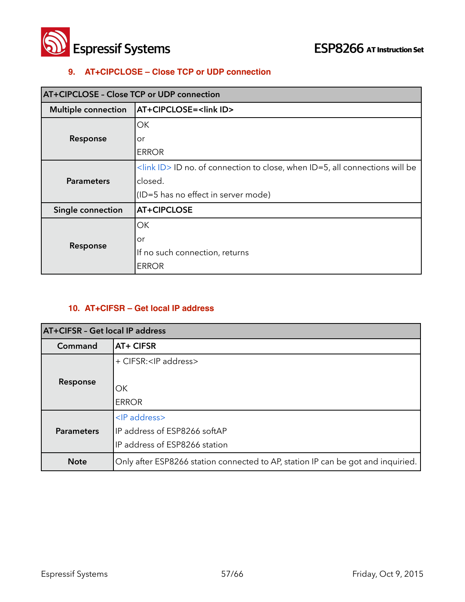

#### **9. AT+CIPCLOSE – Close TCP or UDP connection**

| <b>AT+CIPCLOSE - Close TCP or UDP connection</b> |                                                                                               |
|--------------------------------------------------|-----------------------------------------------------------------------------------------------|
| <b>Multiple connection</b>                       | AT+CIPCLOSE= <link id=""/>                                                                    |
| Response                                         | ОК                                                                                            |
|                                                  | or                                                                                            |
|                                                  | <b>ERROR</b>                                                                                  |
| <b>Parameters</b>                                | $\frac{1}{2}$ <link id=""/> ID no. of connection to close, when ID=5, all connections will be |
|                                                  | closed.                                                                                       |
|                                                  | (ID=5 has no effect in server mode)                                                           |
| Single connection                                | <b>AT+CIPCLOSE</b>                                                                            |
| Response                                         | ΟK                                                                                            |
|                                                  | or                                                                                            |
|                                                  | If no such connection, returns                                                                |
|                                                  | <b>ERROR</b>                                                                                  |

#### **10. AT+CIFSR – Get local IP address**

| AT+CIFSR - Get local IP address |                                                                                         |
|---------------------------------|-----------------------------------------------------------------------------------------|
| Command                         | AT+ CIFSR                                                                               |
|                                 | + CIFSR: <ip address=""></ip>                                                           |
| Response                        | ОK<br><b>ERROR</b>                                                                      |
| <b>Parameters</b>               | <ip address=""><br/>IP address of ESP8266 softAP<br/>IP address of ESP8266 station</ip> |
| <b>Note</b>                     | Only after ESP8266 station connected to AP, station IP can be got and inquiried.        |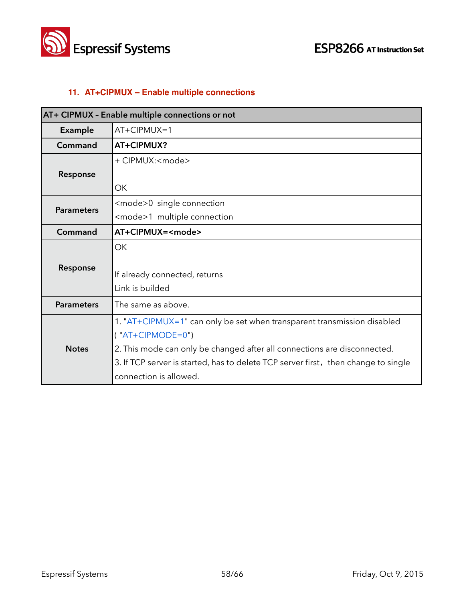



#### **11. AT+CIPMUX – Enable multiple connections**

| AT+ CIPMUX - Enable multiple connections or not |                                                                                    |  |
|-------------------------------------------------|------------------------------------------------------------------------------------|--|
| <b>Example</b>                                  | $AT+CIPMUX=1$                                                                      |  |
| Command                                         | AT+CIPMUX?                                                                         |  |
|                                                 | + CIPMUX: <mode></mode>                                                            |  |
| Response                                        |                                                                                    |  |
|                                                 | ОΚ                                                                                 |  |
| <b>Parameters</b>                               | <mode>0 single connection</mode>                                                   |  |
|                                                 | <mode>1 multiple connection</mode>                                                 |  |
| Command                                         | AT+CIPMUX= <mode></mode>                                                           |  |
|                                                 | OK                                                                                 |  |
| Response                                        |                                                                                    |  |
|                                                 | If already connected, returns                                                      |  |
|                                                 | Link is builded                                                                    |  |
| <b>Parameters</b>                               | The same as above.                                                                 |  |
| <b>Notes</b>                                    | 1. "AT+CIPMUX=1" can only be set when transparent transmission disabled            |  |
|                                                 | $('AT+CIPMODE=0")$                                                                 |  |
|                                                 | 2. This mode can only be changed after all connections are disconnected.           |  |
|                                                 | 3. If TCP server is started, has to delete TCP server first, then change to single |  |
|                                                 | connection is allowed.                                                             |  |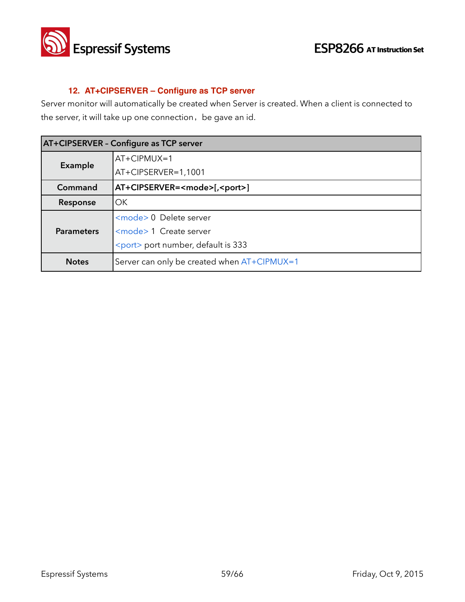

#### **12. AT+CIPSERVER – Configure as TCP server**

Server monitor will automatically be created when Server is created. When a client is connected to the server, it will take up one connection, be gave an id.

| AT+CIPSERVER - Configure as TCP server |                                             |  |
|----------------------------------------|---------------------------------------------|--|
| Example                                | AT+CIPMUX=1                                 |  |
|                                        | AT+CIPSERVER=1,1001                         |  |
| Command                                | AT+CIPSERVER= <mode>[,<port>]</port></mode> |  |
| Response                               | OK.                                         |  |
| <b>Parameters</b>                      | <mode> 0 Delete server</mode>               |  |
|                                        | <mode> 1 Create server</mode>               |  |
|                                        | <port> port number, default is 333</port>   |  |
| <b>Notes</b>                           | Server can only be created when AT+CIPMUX=1 |  |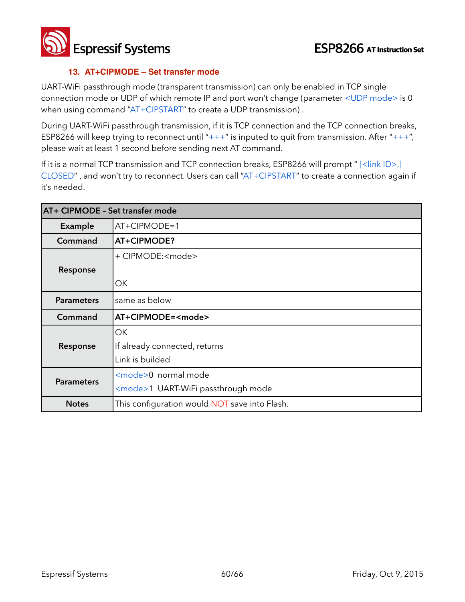**Espressif Systems ESP8266** AT Instruction Set

#### **13. AT+CIPMODE – Set transfer mode**

UART-WiFi passthrough mode (transparent transmission) can only be enabled in TCP single connection mode or UDP of which remote IP and port won't change (parameter <UDP mode> is 0 when using command "AT+CIPSTART" to create a UDP transmission) .

During UART-WiFi passthrough transmission, if it is TCP connection and the TCP connection breaks, ESP8266 will keep trying to reconnect until " $++$ " is inputed to quit from transmission. After " $++$ ", please wait at least 1 second before sending next AT command.

If it is a normal TCP transmission and TCP connection breaks, ESP8266 will prompt " [<link ID>,] CLOSED" , and won't try to reconnect. Users can call "AT+CIPSTART" to create a connection again if it's needed.

| AT+ CIPMODE - Set transfer mode |                                               |
|---------------------------------|-----------------------------------------------|
| Example                         | $AT+CIPMODE=1$                                |
| Command                         | AT+CIPMODE?                                   |
|                                 | + CIPMODE: <mode></mode>                      |
| Response                        |                                               |
|                                 | ОK                                            |
| <b>Parameters</b>               | same as below                                 |
| Command                         | AT+CIPMODE= <mode></mode>                     |
|                                 | OK.                                           |
| Response                        | If already connected, returns                 |
|                                 | Link is builded                               |
| <b>Parameters</b>               | <mode>0 normal mode</mode>                    |
|                                 | <mode>1 UART-WiFi passthrough mode</mode>     |
| <b>Notes</b>                    | This configuration would NOT save into Flash. |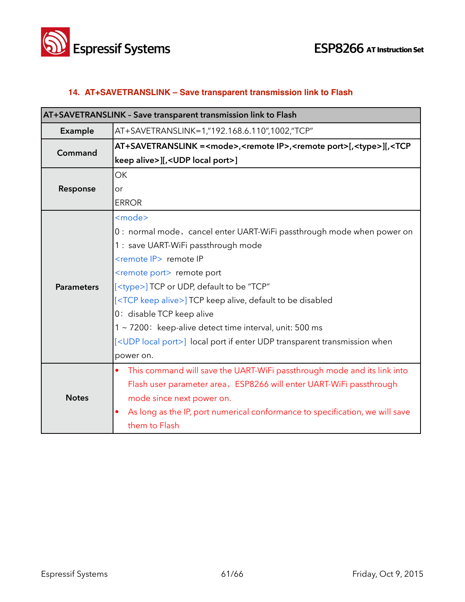

#### **14. AT+SAVETRANSLINK – Save transparent transmission link to Flash**

| AT+SAVETRANSLINK - Save transparent transmission link to Flash |                                                                                                                         |  |
|----------------------------------------------------------------|-------------------------------------------------------------------------------------------------------------------------|--|
| Example                                                        | AT+SAVETRANSLINK=1,"192.168.6.110",1002,"TCP"                                                                           |  |
| Command                                                        | AT+SAVETRANSLINK = <mode>,<remote ip="">,<remote port="">[,<type>][,<tcp< th=""></tcp<></type></remote></remote></mode> |  |
|                                                                | keep alive>][, <udp local="" port="">]</udp>                                                                            |  |
|                                                                | <b>OK</b>                                                                                                               |  |
| Response                                                       | or                                                                                                                      |  |
|                                                                | <b>ERROR</b>                                                                                                            |  |
|                                                                | <mode></mode>                                                                                                           |  |
|                                                                | 0: normal mode, cancel enter UART-WiFi passthrough mode when power on                                                   |  |
|                                                                | 1 : save UART-WiFi passthrough mode                                                                                     |  |
|                                                                | <remote ip=""> remote IP</remote>                                                                                       |  |
|                                                                | <remote port=""> remote port</remote>                                                                                   |  |
| <b>Parameters</b>                                              | [ <type>] TCP or UDP, default to be "TCP"</type>                                                                        |  |
|                                                                | [ <tcp alive="" keep="">] TCP keep alive, default to be disabled</tcp>                                                  |  |
|                                                                | 0: disable TCP keep alive                                                                                               |  |
|                                                                | 1 ~ 7200: keep-alive detect time interval, unit: 500 ms                                                                 |  |
|                                                                | [ <udp local="" port="">] local port if enter UDP transparent transmission when</udp>                                   |  |
|                                                                | power on.                                                                                                               |  |
|                                                                | This command will save the UART-WiFi passthrough mode and its link into<br>$\bullet$                                    |  |
| <b>Notes</b>                                                   | Flash user parameter area, ESP8266 will enter UART-WiFi passthrough                                                     |  |
|                                                                | mode since next power on.                                                                                               |  |
|                                                                | As long as the IP, port numerical conformance to specification, we will save                                            |  |
|                                                                | them to Flash                                                                                                           |  |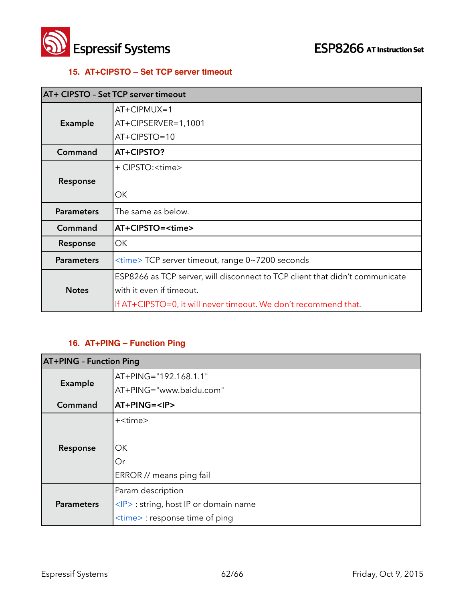

#### **15. AT+CIPSTO – Set TCP server timeout**

| AT+ CIPSTO - Set TCP server timeout |                                                                              |
|-------------------------------------|------------------------------------------------------------------------------|
|                                     | $AT+CIPMUX=1$                                                                |
| Example                             | AT+CIPSERVER=1,1001                                                          |
|                                     | AT+CIPSTO=10                                                                 |
| Command                             | AT+CIPSTO?                                                                   |
|                                     | + CIPSTO: <time></time>                                                      |
| Response                            |                                                                              |
|                                     | ОК                                                                           |
| <b>Parameters</b>                   | The same as below.                                                           |
| Command                             | AT+CIPSTO= <time></time>                                                     |
| Response                            | OK.                                                                          |
| <b>Parameters</b>                   | <time> TCP server timeout, range 0~7200 seconds</time>                       |
|                                     | ESP8266 as TCP server, will disconnect to TCP client that didn't communicate |
| <b>Notes</b>                        | with it even if timeout.                                                     |
|                                     | If AT+CIPSTO=0, it will never timeout. We don't recommend that.              |

#### **16. AT+PING – Function Ping**

| <b>AT+PING - Function Ping</b> |                                            |  |
|--------------------------------|--------------------------------------------|--|
| Example                        | AT+PING="192.168.1.1"                      |  |
|                                | AT+PING="www.baidu.com"                    |  |
| Command                        | AT+PING= <ip></ip>                         |  |
|                                | + <time></time>                            |  |
|                                |                                            |  |
| Response                       | OK.                                        |  |
|                                | Or                                         |  |
|                                | ERROR // means ping fail                   |  |
|                                | Param description                          |  |
| <b>Parameters</b>              | <ip> : string, host IP or domain name</ip> |  |
|                                | <time> : response time of ping</time>      |  |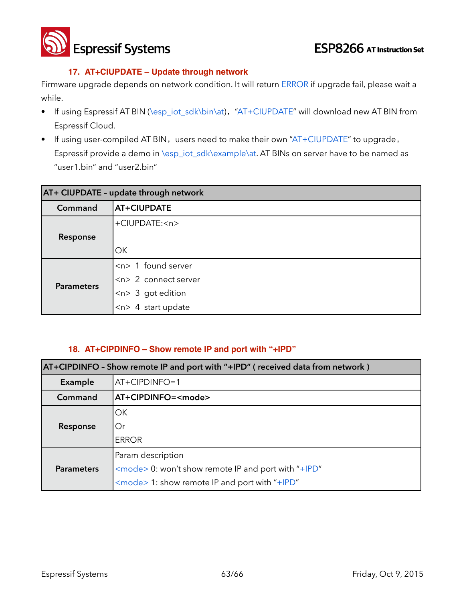**Espressif Systems ESP8266** AT Instruction Set

#### **17. AT+CIUPDATE – Update through network**

Firmware upgrade depends on network condition. It will return ERROR if upgrade fail, please wait a while.

- If using Espressif AT BIN (\esp\_iot\_sdk\bin\at), "AT+CIUPDATE" will download new AT BIN from Espressif Cloud.
- If using user-compiled AT BIN, users need to make their own "AT+CIUPDATE" to upgrade, Espressif provide a demo in \esp\_iot\_sdk\example\at. AT BINs on server have to be named as "user1.bin" and "user2.bin"

| AT+ CIUPDATE - update through network |                                    |  |
|---------------------------------------|------------------------------------|--|
| Command                               | AT+CIUPDATE                        |  |
|                                       | +CIUPDATE: <n></n>                 |  |
| Response                              |                                    |  |
|                                       | OK                                 |  |
| <b>Parameters</b>                     | $\langle n \rangle$ 1 found server |  |
|                                       | $\left $ <n> 2 connect server</n>  |  |
|                                       | $<$ n> 3 got edition               |  |
|                                       | $ n> $ 4 start update              |  |

#### **18. AT+CIPDINFO – Show remote IP and port with "+IPD"**

| AT+CIPDINFO - Show remote IP and port with "+IPD" (received data from network) |                                                            |  |
|--------------------------------------------------------------------------------|------------------------------------------------------------|--|
| Example                                                                        | AT+CIPDINFO=1                                              |  |
| Command                                                                        | AT+CIPDINFO= <mode></mode>                                 |  |
|                                                                                | OK                                                         |  |
| Response                                                                       | Or                                                         |  |
|                                                                                | <b>ERROR</b>                                               |  |
|                                                                                | Param description                                          |  |
| <b>Parameters</b>                                                              | <mode> 0: won't show remote IP and port with "+IPD"</mode> |  |
|                                                                                | $\leq$ mode > 1: show remote IP and port with "+IPD"       |  |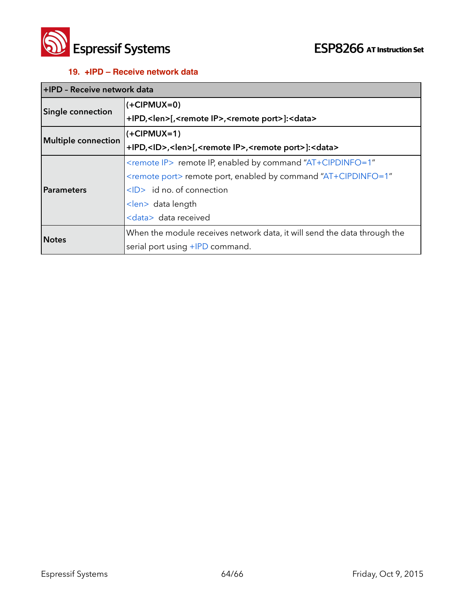

#### **19. +IPD – Receive network data**

| HIPD - Receive network data |                                                                                               |
|-----------------------------|-----------------------------------------------------------------------------------------------|
| <b>Single connection</b>    | $(+CIPMUX=0)$                                                                                 |
|                             | +IPD, <len>[,<remote ip="">,<remote port="">]:<data></data></remote></remote></len>           |
| Multiple connection         | $(+CIPMUX=1)$                                                                                 |
|                             | +IPD, <id>,<len>[,<remote ip="">,<remote port="">]:<data></data></remote></remote></len></id> |
| <b>Parameters</b>           | <remote ip=""> remote IP, enabled by command "AT+CIPDINFO=1"</remote>                         |
|                             | <remote port=""> remote port, enabled by command "AT+CIPDINFO=1"</remote>                     |
|                             | $\langle$ D> id no. of connection                                                             |
|                             | <len> data length</len>                                                                       |
|                             | <data> data received</data>                                                                   |
| <b>Notes</b>                | When the module receives network data, it will send the data through the                      |
|                             | serial port using +IPD command.                                                               |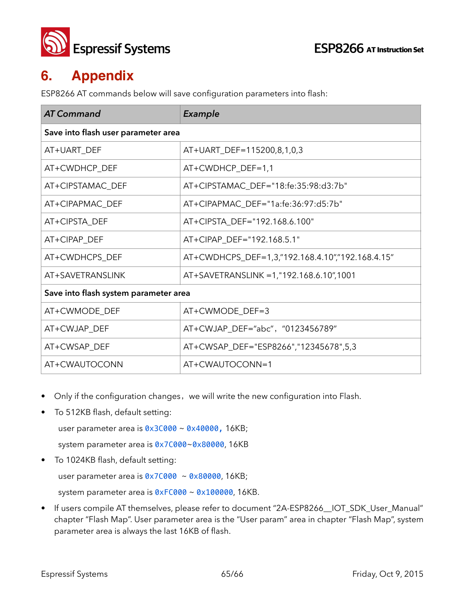

## **6. Appendix**

ESP8266 AT commands below will save configuration parameters into flash:

| <b>AT Command</b>                     | Example                                          |  |
|---------------------------------------|--------------------------------------------------|--|
| Save into flash user parameter area   |                                                  |  |
| AT+UART_DEF                           | AT+UART_DEF=115200,8,1,0,3                       |  |
| AT+CWDHCP_DEF                         | AT+CWDHCP_DEF=1,1                                |  |
| AT+CIPSTAMAC_DEF                      | AT+CIPSTAMAC_DEF="18:fe:35:98:d3:7b"             |  |
| AT+CIPAPMAC_DEF                       | AT+CIPAPMAC_DEF="1a:fe:36:97:d5:7b"              |  |
| AT+CIPSTA_DEF                         | AT+CIPSTA_DEF="192.168.6.100"                    |  |
| AT+CIPAP_DEF                          | AT+CIPAP_DEF="192.168.5.1"                       |  |
| AT+CWDHCPS_DEF                        | AT+CWDHCPS_DEF=1,3,"192.168.4.10","192.168.4.15" |  |
| AT+SAVETRANSLINK                      | AT+SAVETRANSLINK = 1,"192.168.6.10",1001         |  |
| Save into flash system parameter area |                                                  |  |
| AT+CWMODE_DEF                         | AT+CWMODE DEF=3                                  |  |
| AT+CWJAP_DEF                          | AT+CWJAP_DEF="abc", "0123456789"                 |  |
| AT+CWSAP_DEF                          | AT+CWSAP_DEF="ESP8266","12345678",5,3            |  |
| AT+CWAUTOCONN                         | AT+CWAUTOCONN=1                                  |  |

- Only if the configuration changes, we will write the new configuration into Flash.
- To 512KB flash, default setting:

user parameter area is 0x3C000 ~ 0x40000, 16KB;

system parameter area is 0x7C000~0x80000, 16KB

To 1024KB flash, default setting:

user parameter area is  $0 \times 7$ C000 ~  $0 \times 80000$ , 16KB;

system parameter area is  $0 \times F0000 \sim 0 \times 100000$ , 16KB.

• If users compile AT themselves, please refer to document "2A-ESP8266\_\_IOT\_SDK\_User\_Manual" chapter "Flash Map". User parameter area is the "User param" area in chapter "Flash Map", system parameter area is always the last 16KB of flash.